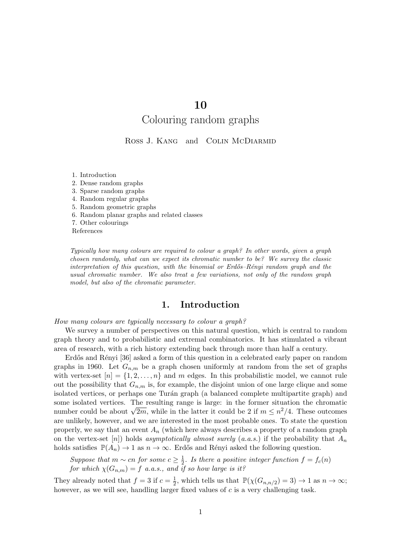# 10

# Colouring random graphs

Ross J. Kang and Colin McDiarmid

1. Introduction 2. Dense random graphs 3. Sparse random graphs 4. Random regular graphs 5. Random geometric graphs 6. Random planar graphs and related classes 7. Other colourings References

Typically how many colours are required to colour a graph? In other words, given a graph chosen randomly, what can we expect its chromatic number to be? We survey the classic interpretation of this question, with the binomial or  $Erd\delta s$ -Rényi random graph and the usual chromatic number. We also treat a few variations, not only of the random graph model, but also of the chromatic parameter.

# 1. Introduction

How many colours are typically necessary to colour a graph?

We survey a number of perspectives on this natural question, which is central to random graph theory and to probabilistic and extremal combinatorics. It has stimulated a vibrant area of research, with a rich history extending back through more than half a century.

Erdős and Rényi [36] asked a form of this question in a celebrated early paper on random graphs in 1960. Let  $G_{n,m}$  be a graph chosen uniformly at random from the set of graphs with vertex-set  $[n] = \{1, 2, ..., n\}$  and m edges. In this probabilistic model, we cannot rule out the possibility that  $G_{n,m}$  is, for example, the disjoint union of one large clique and some isolated vertices, or perhaps one Turán graph (a balanced complete multipartite graph) and some isolated vertices. The resulting range is large: in the former situation the chromatic some isolated vertices. The resulting range is large: in the former situation the chromatic number could be about  $\sqrt{2m}$ , while in the latter it could be 2 if  $m \leq n^2/4$ . These outcomes are unlikely, however, and we are interested in the most probable ones. To state the question properly, we say that an event  $A_n$  (which here always describes a property of a random graph on the vertex-set [n]) holds asymptotically almost surely (a.a.s.) if the probability that  $A_n$ holds satisfies  $\mathbb{P}(A_n) \to 1$  as  $n \to \infty$ . Erdős and Rényi asked the following question.

Suppose that  $m \sim cn$  for some  $c \geq \frac{1}{2}$  $\frac{1}{2}$ . Is there a positive integer function  $f = f_c(n)$ for which  $\chi(G_{n,m}) = f$  a.a.s., and if so how large is it?

They already noted that  $f = 3$  if  $c = \frac{1}{2}$  $\frac{1}{2}$ , which tells us that  $\mathbb{P}(\chi(G_{n,n/2})=3) \to 1$  as  $n \to \infty$ ; however, as we will see, handling larger fixed values of c is a very challenging task.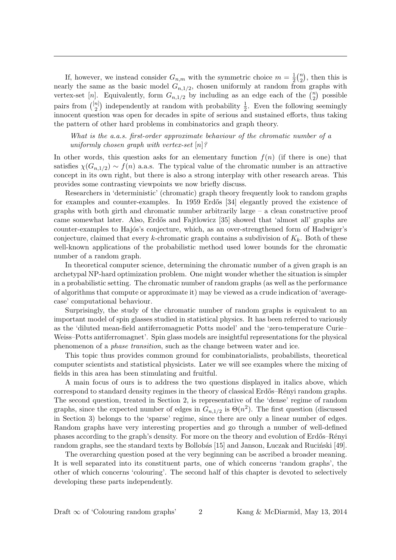If, however, we instead consider  $G_{n,m}$  with the symmetric choice  $m=\frac{1}{2}$  $\frac{1}{2}$  $\binom{n}{2}$  $n \choose 2$ , then this is nearly the same as the basic model  $G_{n,1/2}$ , chosen uniformly at random from graphs with vertex-set [n]. Equivalently, form  $G_{n,1/2}$  by including as an edge each of the  $\binom{n}{2}$  $n \choose 2$  possible pairs from  $\binom{[n]}{2}$  $\binom{n}{2}$  independently at random with probability  $\frac{1}{2}$ . Even the following seemingly innocent question was open for decades in spite of serious and sustained efforts, thus taking the pattern of other hard problems in combinatorics and graph theory.

What is the a.a.s. first-order approximate behaviour of the chromatic number of a uniformly chosen graph with vertex-set  $[n]$ ?

In other words, this question asks for an elementary function  $f(n)$  (if there is one) that satisfies  $\chi(G_{n,1/2}) \sim f(n)$  a.a.s. The typical value of the chromatic number is an attractive concept in its own right, but there is also a strong interplay with other research areas. This provides some contrasting viewpoints we now briefly discuss.

Researchers in 'deterministic' (chromatic) graph theory frequently look to random graphs for examples and counter-examples. In 1959 Erdős [34] elegantly proved the existence of graphs with both girth and chromatic number arbitrarily large – a clean constructive proof came somewhat later. Also, Erdős and Fajtlowicz [35] showed that 'almost all' graphs are counter-examples to Hajós's conjecture, which, as an over-strengthened form of Hadwiger's conjecture, claimed that every k-chromatic graph contains a subdivision of  $K_k$ . Both of these well-known applications of the probabilistic method used lower bounds for the chromatic number of a random graph.

In theoretical computer science, determining the chromatic number of a given graph is an archetypal NP-hard optimization problem. One might wonder whether the situation is simpler in a probabilistic setting. The chromatic number of random graphs (as well as the performance of algorithms that compute or approximate it) may be viewed as a crude indication of 'averagecase' computational behaviour.

Surprisingly, the study of the chromatic number of random graphs is equivalent to an important model of spin glasses studied in statistical physics. It has been referred to variously as the 'diluted mean-field antiferromagnetic Potts model' and the 'zero-temperature Curie– Weiss–Potts antiferromagnet'. Spin glass models are insightful representations for the physical phenomenon of a phase transition, such as the change between water and ice.

This topic thus provides common ground for combinatorialists, probabilists, theoretical computer scientists and statistical physicists. Later we will see examples where the mixing of fields in this area has been stimulating and fruitful.

A main focus of ours is to address the two questions displayed in italics above, which correspond to standard density regimes in the theory of classical Erdős–Rényi random graphs. The second question, treated in Section 2, is representative of the 'dense' regime of random graphs, since the expected number of edges in  $G_{n,1/2}$  is  $\Theta(n^2)$ . The first question (discussed in Section 3) belongs to the 'sparse' regime, since there are only a linear number of edges. Random graphs have very interesting properties and go through a number of well-defined phases according to the graph's density. For more on the theory and evolution of Erdős–Rényi random graphs, see the standard texts by Bollobás [15] and Janson, Luczak and Rucinski [49].

The overarching question posed at the very beginning can be ascribed a broader meaning. It is well separated into its constituent parts, one of which concerns 'random graphs', the other of which concerns 'colouring'. The second half of this chapter is devoted to selectively developing these parts independently.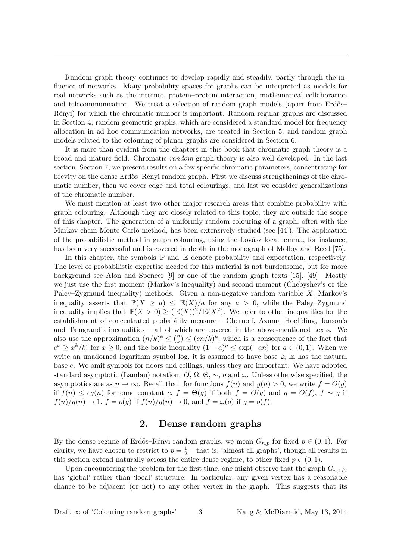Random graph theory continues to develop rapidly and steadily, partly through the influence of networks. Many probability spaces for graphs can be interpreted as models for real networks such as the internet, protein–protein interaction, mathematical collaboration and telecommunication. We treat a selection of random graph models (apart from Erdős– R´enyi) for which the chromatic number is important. Random regular graphs are discussed in Section 4; random geometric graphs, which are considered a standard model for frequency allocation in ad hoc communication networks, are treated in Section 5; and random graph models related to the colouring of planar graphs are considered in Section 6.

It is more than evident from the chapters in this book that chromatic graph theory is a broad and mature field. Chromatic random graph theory is also well developed. In the last section, Section 7, we present results on a few specific chromatic parameters, concentrating for brevity on the dense Erdős–Rényi random graph. First we discuss strengthenings of the chromatic number, then we cover edge and total colourings, and last we consider generalizations of the chromatic number.

We must mention at least two other major research areas that combine probability with graph colouring. Although they are closely related to this topic, they are outside the scope of this chapter. The generation of a uniformly random colouring of a graph, often with the Markov chain Monte Carlo method, has been extensively studied (see [44]). The application of the probabilistic method in graph colouring, using the Lovász local lemma, for instance, has been very successful and is covered in depth in the monograph of Molloy and Reed [75].

In this chapter, the symbols  $\mathbb P$  and  $\mathbb E$  denote probability and expectation, respectively. The level of probabilistic expertise needed for this material is not burdensome, but for more background see Alon and Spencer [9] or one of the random graph texts [15], [49]. Mostly we just use the first moment (Markov's inequality) and second moment (Chebyshev's or the Paley–Zygmund inequality) methods. Given a non-negative random variable  $X$ , Markov's inequality asserts that  $\mathbb{P}(X \ge a) \le \mathbb{E}(X)/a$  for any  $a > 0$ , while the Paley–Zygmund inequality implies that  $\mathbb{P}(X > 0) \ge (\mathbb{E}(X))^2 / \mathbb{E}(X^2)$ . We refer to other inequalities for the establishment of concentrated probability measure – Chernoff, Azuma–Hoeffding, Janson's and Talagrand's inequalities – all of which are covered in the above-mentioned texts. We also use the approximation  $(n/k)^k \leq {n \choose k}$  ${k \choose k} \leq (en/k)^k$ , which is a consequence of the fact that  $e^x \geq x^k/k!$  for  $x \geq 0$ , and the basic inequality  $(1-a)^n \leq \exp(-an)$  for  $a \in (0,1)$ . When we write an unadorned logarithm symbol log, it is assumed to have base 2; ln has the natural base e. We omit symbols for floors and ceilings, unless they are important. We have adopted standard asymptotic (Landau) notation:  $O, \Omega, \Theta, \sim, o$  and  $\omega$ . Unless otherwise specified, the asymptotics are as  $n \to \infty$ . Recall that, for functions  $f(n)$  and  $g(n) > 0$ , we write  $f = O(q)$ if  $f(n) \le cg(n)$  for some constant c,  $f = \Theta(g)$  if both  $f = O(g)$  and  $g = O(f)$ ,  $f \sim g$  if  $f(n)/g(n) \to 1$ ,  $f = o(g)$  if  $f(n)/g(n) \to 0$ , and  $f = \omega(g)$  if  $g = o(f)$ .

# 2. Dense random graphs

By the dense regime of Erdős–Rényi random graphs, we mean  $G_{n,p}$  for fixed  $p \in (0,1)$ . For clarity, we have chosen to restrict to  $p=\frac{1}{2}$  $\frac{1}{2}$  – that is, 'almost all graphs', though all results in this section extend naturally across the entire dense regime, to other fixed  $p \in (0,1)$ .

Upon encountering the problem for the first time, one might observe that the graph  $G_{n,1/2}$ has 'global' rather than 'local' structure. In particular, any given vertex has a reasonable chance to be adjacent (or not) to any other vertex in the graph. This suggests that its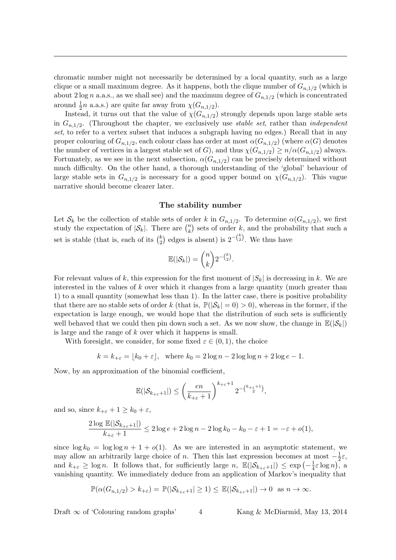chromatic number might not necessarily be determined by a local quantity, such as a large clique or a small maximum degree. As it happens, both the clique number of  $G_{n,1/2}$  (which is about  $2 \log n$  a.a.s., as we shall see) and the maximum degree of  $G_{n,1/2}$  (which is concentrated around  $\frac{1}{2}n$  a.a.s.) are quite far away from  $\chi(G_{n,1/2})$ .

Instead, it turns out that the value of  $\chi(G_{n,1/2})$  strongly depends upon large stable sets in  $G_{n,1/2}$ . (Throughout the chapter, we exclusively use *stable set*, rather than *independent* set, to refer to a vertex subset that induces a subgraph having no edges.) Recall that in any proper colouring of  $G_{n,1/2}$ , each colour class has order at most  $\alpha(G_{n,1/2})$  (where  $\alpha(G)$  denotes the number of vertices in a largest stable set of G), and thus  $\chi(G_{n,1/2}) \ge n/\alpha(G_{n,1/2})$  always. Fortunately, as we see in the next subsection,  $\alpha(G_{n,1/2})$  can be precisely determined without much difficulty. On the other hand, a thorough understanding of the 'global' behaviour of large stable sets in  $G_{n,1/2}$  is necessary for a good upper bound on  $\chi(G_{n,1/2})$ . This vague narrative should become clearer later.

#### The stability number

Let  $\mathcal{S}_k$  be the collection of stable sets of order k in  $G_{n,1/2}$ . To determine  $\alpha(G_{n,1/2})$ , we first study the expectation of  $|\mathcal{S}_k|$ . There are  $\binom{n}{k}$  $\binom{n}{k}$  sets of order k, and the probability that such a set is stable (that is, each of its  $\binom{k}{2}$  $\binom{k}{2}$  edges is absent) is  $2^{-\binom{k}{2}}$ . We thus have

$$
\mathbb{E}(|\mathcal{S}_k|) = \binom{n}{k} 2^{-\binom{k}{2}}.
$$

For relevant values of k, this expression for the first moment of  $|S_k|$  is decreasing in k. We are interested in the values of  $k$  over which it changes from a large quantity (much greater than 1) to a small quantity (somewhat less than 1). In the latter case, there is positive probability that there are no stable sets of order k (that is,  $\mathbb{P}(|S_k| = 0) > 0$ ), whereas in the former, if the expectation is large enough, we would hope that the distribution of such sets is sufficiently well behaved that we could then pin down such a set. As we now show, the change in  $\mathbb{E}(|\mathcal{S}_k|)$ is large and the range of k over which it happens is small.

With foresight, we consider, for some fixed  $\varepsilon \in (0,1)$ , the choice

$$
k = k_{+\varepsilon} = \lfloor k_0 + \varepsilon \rfloor, \text{ where } k_0 = 2\log n - 2\log \log n + 2\log e - 1.
$$

Now, by an approximation of the binomial coefficient,

$$
\mathbb{E}(|\mathcal{S}_{k+\varepsilon+1}|) \le \left(\frac{en}{k+\varepsilon+1}\right)^{k+\varepsilon+1} 2^{-\binom{k+\varepsilon+1}{2}},
$$

and so, since  $k_{+\varepsilon} + 1 \geq k_0 + \varepsilon$ ,

$$
\frac{2\log \mathbb{E}(|\mathcal{S}_{k+\varepsilon}+1|)}{k_{+\varepsilon}+1} \le 2\log e + 2\log n - 2\log k_0 - k_0 - \varepsilon + 1 = -\varepsilon + o(1),
$$

since  $\log k_0 = \log \log n + 1 + o(1)$ . As we are interested in an asymptotic statement, we may allow an arbitrarily large choice of n. Then this last expression becomes at most  $-\frac{1}{2}$  $rac{1}{2}\varepsilon,$ and  $k_{+\varepsilon} \geq \log n$ . It follows that, for sufficiently large n,  $\mathbb{E}(|\mathcal{S}_{k_{+\varepsilon}+1}|) \leq \exp\left(-\frac{1}{4}\right)$  $\frac{1}{4}\varepsilon \log n$ ), a vanishing quantity. We immediately deduce from an application of Markov's inequality that

$$
\mathbb{P}(\alpha(G_{n,1/2}) > k_{+\varepsilon}) = \mathbb{P}(|\mathcal{S}_{k_{+\varepsilon}+1}| \ge 1) \le \mathbb{E}(|\mathcal{S}_{k_{+\varepsilon}+1}|) \to 0 \text{ as } n \to \infty.
$$

Draft  $\infty$  of 'Colouring random graphs' 4 Kang & McDiarmid, May 13, 2014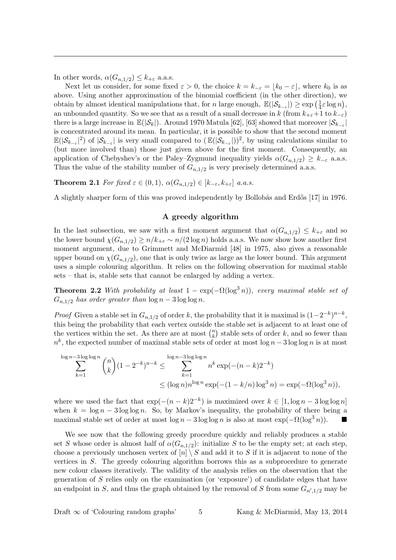In other words,  $\alpha(G_{n,1/2}) \leq k_{+\varepsilon}$  a.a.s.

Next let us consider, for some fixed  $\varepsilon > 0$ , the choice  $k = k_{-\varepsilon} = |k_0 - \varepsilon|$ , where  $k_0$  is as above. Using another approximation of the binomial coefficient (in the other direction), we obtain by almost identical manipulations that, for n large enough,  $\mathbb{E}(|S_{k-\varepsilon}|) \geq \exp\left(\frac{1}{4}\right)$  $rac{1}{4}\varepsilon \log n,$ an unbounded quantity. So we see that as a result of a small decrease in k (from  $k_{+ε}+1$  to  $k_{-ε}$ ) there is a large increase in  $\mathbb{E}(|S_k|)$ . Around 1970 Matula [62], [63] showed that moreover  $|S_{k_{-\varepsilon}}|$ is concentrated around its mean. In particular, it is possible to show that the second moment  $\mathbb{E}(|S_{k-\varepsilon}|^2)$  of  $|S_{k-\varepsilon}|$  is very small compared to  $(\mathbb{E}(|S_{k-\varepsilon}|))^2$ , by using calculations similar to (but more involved than) those just given above for the first moment. Consequently, an application of Chebyshev's or the Paley-Zygmund inequality yields  $\alpha(G_{n,1/2}) \geq k_{-\varepsilon}$  a.a.s. Thus the value of the stability number of  $G_{n,1/2}$  is very precisely determined a.a.s.

**Theorem 2.1** For fixed  $\varepsilon \in (0,1)$ ,  $\alpha(G_{n,1/2}) \in [k_{-\varepsilon}, k_{+\varepsilon}]$  a.a.s.

A slightly sharper form of this was proved independently by Bollobás and Erdős [17] in 1976.

### A greedy algorithm

In the last subsection, we saw with a first moment argument that  $\alpha(G_{n,1/2}) \leq k_{+\varepsilon}$  and so the lower bound  $\chi(G_{n,1/2}) \ge n/k_{+\varepsilon} \sim n/(2 \log n)$  holds a.a.s. We now show how another first moment argument, due to Grimmett and McDiarmid [48] in 1975, also gives a reasonable upper bound on  $\chi(G_{n,1/2})$ , one that is only twice as large as the lower bound. This argument uses a simple colouring algorithm. It relies on the following observation for maximal stable sets – that is, stable sets that cannot be enlarged by adding a vertex.

**Theorem 2.2** With probability at least  $1 - \exp(-\Omega(\log^3 n))$ , every maximal stable set of  $G_{n,1/2}$  has order greater than  $\log n - 3 \log \log n$ .

*Proof* Given a stable set in  $G_{n,1/2}$  of order k, the probability that it is maximal is  $(1-2^{-k})^{n-k}$ , this being the probability that each vertex outside the stable set is adjacent to at least one of the vertices within the set. As there are at most  $\binom{n}{k}$  $\binom{n}{k}$  stable sets of order k, and so fewer than  $n^k$ , the expected number of maximal stable sets of order at most  $\log n - 3 \log \log n$  is at most

$$
\sum_{k=1}^{\log n - 3\log\log n} \binom{n}{k} (1 - 2^{-k})^{n-k} \le \sum_{k=1}^{\log n - 3\log\log n} n^k \exp(-(n-k)2^{-k})
$$
  

$$
\le (\log n)n^{\log n} \exp(-(1 - k/n)\log^3 n) = \exp(-\Omega(\log^3 n)),
$$

where we used the fact that  $\exp(-(n-k)2^{-k})$  is maximized over  $k \in [1, \log n - 3 \log \log n]$ when  $k = \log n - 3 \log \log n$ . So, by Markov's inequality, the probability of there being a maximal stable set of order at most  $\log n - 3 \log \log n$  is also at most  $\exp(-\Omega(\log^3 n))$ .

We see now that the following greedy procedure quickly and reliably produces a stable set S whose order is almost half of  $\alpha(G_{n,1/2})$ : initialize S to be the empty set; at each step, choose a previously unchosen vertex of  $[n] \setminus S$  and add it to S if it is adjacent to none of the vertices in S. The greedy colouring algorithm borrows this as a subprocedure to generate new colour classes iteratively. The validity of the analysis relies on the observation that the generation of S relies only on the examination (or 'exposure') of candidate edges that have an endpoint in S, and thus the graph obtained by the removal of S from some  $G_{n',1/2}$  may be

Draft  $\infty$  of 'Colouring random graphs' 5 Kang & McDiarmid, May 13, 2014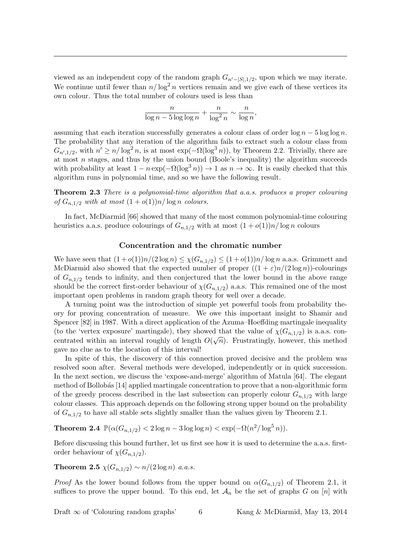viewed as an independent copy of the random graph  $G_{n'-|S|,1/2}$ , upon which we may iterate. We continue until fewer than  $n/\log^2 n$  vertices remain and we give each of these vertices its own colour. Thus the total number of colours used is less than

$$
\frac{n}{\log n - 5\log\log n} + \frac{n}{\log^2 n} \sim \frac{n}{\log n},
$$

assuming that each iteration successfully generates a colour class of order  $\log n - 5 \log \log n$ . The probability that any iteration of the algorithm fails to extract such a colour class from  $G_{n',1/2}$ , with  $n' \geq n/\log^2 n$ , is at most  $\exp(-\Omega(\log^3 n))$ , by Theorem 2.2. Trivially, there are at most  $n$  stages, and thus by the union bound (Boole's inequality) the algorithm succeeds with probability at least  $1 - n \exp(-\Omega(\log^3 n)) \to 1$  as  $n \to \infty$ . It is easily checked that this algorithm runs in polynomial time, and so we have the following result.

**Theorem 2.3** There is a polynomial-time algorithm that a.a.s. produces a proper colouring of  $G_{n,1/2}$  with at most  $(1+o(1))n/\log n$  colours.

In fact, McDiarmid [66] showed that many of the most common polynomial-time colouring heuristics a.a.s. produce colourings of  $G_{n,1/2}$  with at most  $(1+o(1))n/\log n$  colours

## Concentration and the chromatic number

We have seen that  $(1+o(1))n/(2 \log n) \leq \chi(G_{n,1/2}) \leq (1+o(1))n/\log n$  a.a.s. Grimmett and McDiarmid also showed that the expected number of proper  $((1 + \varepsilon)n/(2 \log n))$ -colourings of  $G_{n,1/2}$  tends to infinity, and then conjectured that the lower bound in the above range should be the correct first-order behaviour of  $\chi(G_{n,1/2})$  a.a.s. This remained one of the most important open problems in random graph theory for well over a decade.

A turning point was the introduction of simple yet powerful tools from probability theory for proving concentration of measure. We owe this important insight to Shamir and Spencer [82] in 1987. With a direct application of the Azuma–Hoeffding martingale inequality (to the 'vertex exposure' martingale), they showed that the value of  $\chi(G_{n,1/2})$  is a.a.s. concentrated within an interval roughly of length  $O(\sqrt{n})$ . Frustratingly, however, this method gave no clue as to the location of this interval!

In spite of this, the discovery of this connection proved decisive and the problem was resolved soon after. Several methods were developed, independently or in quick succession. In the next section, we discuss the 'expose-and-merge' algorithm of Matula [64]. The elegant method of Bollobás [14] applied martingale concentration to prove that a non-algorithmic form of the greedy process described in the last subsection can properly colour  $G_{n,1/2}$  with large colour classes. This approach depends on the following strong upper bound on the probability of  $G_{n,1/2}$  to have all stable sets slightly smaller than the values given by Theorem 2.1.

**Theorem 2.4**  $\mathbb{P}(\alpha(G_{n,1/2}) < 2 \log n - 3 \log \log n) < \exp(-\Omega(n^2/\log^5 n)).$ 

Before discussing this bound further, let us first see how it is used to determine the a.a.s. firstorder behaviour of  $\chi(G_{n,1/2})$ .

**Theorem 2.5**  $\chi(G_{n,1/2}) \sim n/(2 \log n)$  a.a.s.

*Proof* As the lower bound follows from the upper bound on  $\alpha(G_{n,1/2})$  of Theorem 2.1, it suffices to prove the upper bound. To this end, let  $\mathcal{A}_n$  be the set of graphs G on [n] with

Draft  $\infty$  of 'Colouring random graphs' 6 Kang & McDiarmid, May 13, 2014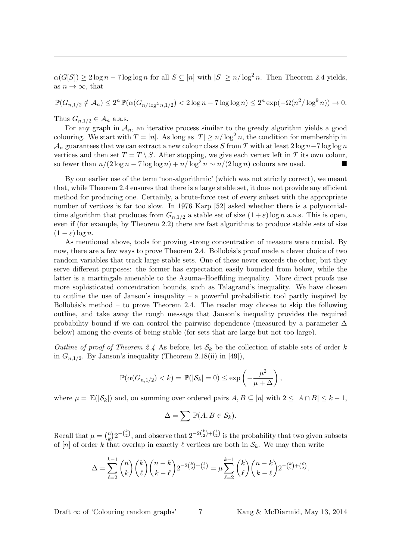$\alpha(G[S]) \geq 2 \log n - 7 \log \log n$  for all  $S \subseteq [n]$  with  $|S| \geq n/\log^2 n$ . Then Theorem 2.4 yields, as  $n \to \infty$ , that

$$
\mathbb{P}(G_{n,1/2} \notin \mathcal{A}_n) \le 2^n \, \mathbb{P}(\alpha(G_{n/\log^2 n,1/2}) < 2\log n - 7\log\log n) \le 2^n \exp(-\Omega(n^2/\log^9 n)) \to 0.
$$

Thus  $G_{n,1/2} \in \mathcal{A}_n$  a.a.s.

For any graph in  $A_n$ , an iterative process similar to the greedy algorithm yields a good colouring. We start with  $T = [n]$ . As long as  $|T| \ge n / \log^2 n$ , the condition for membership in  $\mathcal{A}_n$  guarantees that we can extract a new colour class S from T with at least 2 log n–7 log log n vertices and then set  $T = T \setminus S$ . After stopping, we give each vertex left in T its own colour, so fewer than  $n/(2 \log n - 7 \log \log n) + n/\log^2 n \sim n/(2 \log n)$  colours are used.

By our earlier use of the term 'non-algorithmic' (which was not strictly correct), we meant that, while Theorem 2.4 ensures that there is a large stable set, it does not provide any efficient method for producing one. Certainly, a brute-force test of every subset with the appropriate number of vertices is far too slow. In 1976 Karp [52] asked whether there is a polynomialtime algorithm that produces from  $G_{n,1/2}$  a stable set of size  $(1+\varepsilon) \log n$  a.a.s. This is open, even if (for example, by Theorem 2.2) there are fast algorithms to produce stable sets of size  $(1 - \varepsilon) \log n$ .

As mentioned above, tools for proving strong concentration of measure were crucial. By now, there are a few ways to prove Theorem 2.4. Bollobás's proof made a clever choice of two random variables that track large stable sets. One of these never exceeds the other, but they serve different purposes: the former has expectation easily bounded from below, while the latter is a martingale amenable to the Azuma–Hoeffding inequality. More direct proofs use more sophisticated concentration bounds, such as Talagrand's inequality. We have chosen to outline the use of Janson's inequality – a powerful probabilistic tool partly inspired by Bollobás's method – to prove Theorem 2.4. The reader may choose to skip the following outline, and take away the rough message that Janson's inequality provides the required probability bound if we can control the pairwise dependence (measured by a parameter  $\Delta$ below) among the events of being stable (for sets that are large but not too large).

Outline of proof of Theorem 2.4 As before, let  $S_k$  be the collection of stable sets of order k in  $G_{n,1/2}$ . By Janson's inequality (Theorem 2.18(ii) in [49]),

$$
\mathbb{P}(\alpha(G_{n,1/2}) < k) = \mathbb{P}(|\mathcal{S}_k| = 0) \le \exp\left(-\frac{\mu^2}{\mu + \Delta}\right),
$$

where  $\mu = \mathbb{E}(|\mathcal{S}_k|)$  and, on summing over ordered pairs  $A, B \subseteq [n]$  with  $2 \leq |A \cap B| \leq k - 1$ ,

$$
\Delta = \sum \mathbb{P}(A, B \in \mathcal{S}_k).
$$

Recall that  $\mu = \binom{n}{k}$  $(k)$  $\binom{k}{k}$  and observe that  $2^{-2\binom{k}{2}+\binom{\ell}{2}}$  is the probability that two given subsets of [n] of order k that overlap in exactly  $\ell$  vertices are both in  $\mathcal{S}_k$ . We may then write

$$
\Delta = \sum_{\ell=2}^{k-1} {n \choose k} {k \choose \ell} {n-k \choose k-\ell} 2^{-2{k \choose 2} + {k \choose 2}} = \mu \sum_{\ell=2}^{k-1} {k \choose \ell} {n-k \choose k-\ell} 2^{-{k \choose 2} + {k \choose 2}}.
$$

Draft  $\infty$  of 'Colouring random graphs' 7 Kang & McDiarmid, May 13, 2014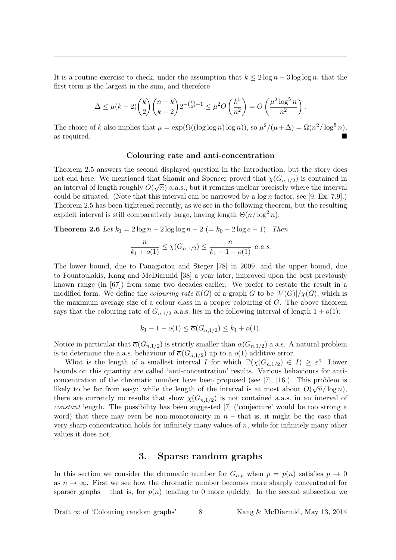It is a routine exercise to check, under the assumption that  $k \leq 2 \log n - 3 \log \log n$ , that the first term is the largest in the sum, and therefore

$$
\Delta \le \mu(k-2) \binom{k}{2} \binom{n-k}{k-2} 2^{-\binom{k}{2}+1} \le \mu^2 O\left(\frac{k^5}{n^2}\right) = O\left(\frac{\mu^2 \log^5 n}{n^2}\right).
$$

The choice of k also implies that  $\mu = \exp(\Omega((\log \log n) \log n))$ , so  $\mu^2/(\mu + \Delta) = \Omega(n^2/\log^5 n)$ , as required.

#### Colouring rate and anti-concentration

Theorem 2.5 answers the second displayed question in the Introduction, but the story does not end here. We mentioned that Shamir and Spencer proved that  $\chi(G_{n,1/2})$  is contained in an interval of length roughly  $O(\sqrt{n})$  a.a.s., but it remains unclear precisely where the interval could be situated. (Note that this interval can be narrowed by a log n factor, see [9, Ex. 7.9].) Theorem 2.5 has been tightened recently, as we see in the following theorem, but the resulting explicit interval is still comparatively large, having length  $\Theta(n/\log^2 n)$ .

**Theorem 2.6** Let  $k_1 = 2 \log n - 2 \log \log n - 2 = (k_0 - 2 \log e - 1)$ . Then

$$
\frac{n}{k_1 + o(1)} \le \chi(G_{n,1/2}) \le \frac{n}{k_1 - 1 - o(1)} \ a.a.s.
$$

The lower bound, due to Panagiotou and Steger [78] in 2009, and the upper bound, due to Fountoulakis, Kang and McDiarmid [38] a year later, improved upon the best previously known range (in [67]) from some two decades earlier. We prefer to restate the result in a modified form. We define the *colouring rate*  $\overline{\alpha}(G)$  of a graph G to be  $|V(G)|/\chi(G)$ , which is the maximum average size of a colour class in a proper colouring of  $G$ . The above theorem says that the colouring rate of  $G_{n,1/2}$  a.a.s. lies in the following interval of length  $1 + o(1)$ :

$$
k_1 - 1 - o(1) \le \overline{\alpha}(G_{n,1/2}) \le k_1 + o(1).
$$

Notice in particular that  $\overline{\alpha}(G_{n,1/2})$  is strictly smaller than  $\alpha(G_{n,1/2})$  a.a.s. A natural problem is to determine the a.a.s. behaviour of  $\overline{\alpha}(G_{n,1/2})$  up to a  $o(1)$  additive error.

What is the length of a smallest interval I for which  $\mathbb{P}(\chi(G_{n,1/2}) \in I) \geq \varepsilon$ ? Lower bounds on this quantity are called 'anti-concentration' results. Various behaviours for anticoncentration of the chromatic number have been proposed (see [7], [16]). This problem is likely to be far from easy: while the length of the interval is at most about  $O(\sqrt{n}/\log n)$ , there are currently no results that show  $\chi(G_{n,1/2})$  is not contained a.a.s. in an interval of constant length. The possibility has been suggested [7] ('conjecture' would be too strong a word) that there may even be non-monotonicity in  $n -$  that is, it might be the case that very sharp concentration holds for infinitely many values of  $n$ , while for infinitely many other values it does not.

# 3. Sparse random graphs

In this section we consider the chromatic number for  $G_{n,p}$  when  $p = p(n)$  satisfies  $p \to 0$ as  $n \to \infty$ . First we see how the chromatic number becomes more sharply concentrated for sparser graphs – that is, for  $p(n)$  tending to 0 more quickly. In the second subsection we

Draft  $\infty$  of 'Colouring random graphs' 8 Kang & McDiarmid, May 13, 2014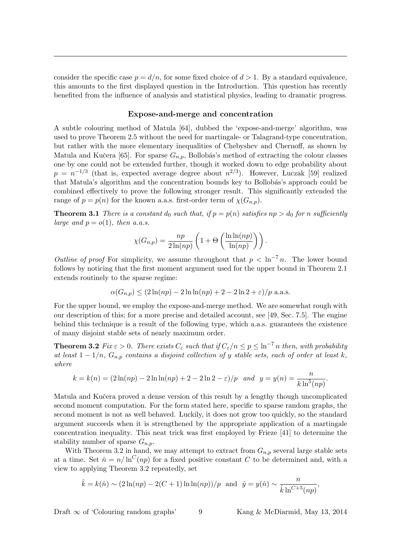consider the specific case  $p = d/n$ , for some fixed choice of  $d > 1$ . By a standard equivalence, this amounts to the first displayed question in the Introduction. This question has recently benefited from the influence of analysis and statistical physics, leading to dramatic progress.

#### Expose-and-merge and concentration

A subtle colouring method of Matula [64], dubbed the 'expose-and-merge' algorithm, was used to prove Theorem 2.5 without the need for martingale- or Talagrand-type concentration, but rather with the more elementary inequalities of Chebyshev and Chernoff, as shown by Matula and Kučera [65]. For sparse  $G_{n,p}$ , Bollobás's method of extracting the colour classes one by one could not be extended further, though it worked down to edge probability about  $p = n^{-1/3}$  (that is, expected average degree about  $n^{2/3}$ ). However, Luczak [59] realized that Matula's algorithm and the concentration bounds key to Bollobás's approach could be combined effectively to prove the following stronger result. This significantly extended the range of  $p = p(n)$  for the known a.a.s. first-order term of  $\chi(G_{n,n})$ .

**Theorem 3.1** There is a constant  $d_0$  such that, if  $p = p(n)$  satisfies  $np > d_0$  for n sufficiently large and  $p = o(1)$ , then a.a.s.

$$
\chi(G_{n,p}) = \frac{np}{2\ln(np)} \left( 1 + \Theta\left(\frac{\ln \ln(np)}{\ln(np)}\right) \right).
$$

*Outline of proof* For simplicity, we assume throughout that  $p < \ln^{-7} n$ . The lower bound follows by noticing that the first moment argument used for the upper bound in Theorem 2.1 extends routinely to the sparse regime:

$$
\alpha(G_{n,p}) \le (2\ln(np) - 2\ln\ln(np) + 2 - 2\ln 2 + \varepsilon)/p
$$
 a.a.s.

For the upper bound, we employ the expose-and-merge method. We are somewhat rough with our description of this; for a more precise and detailed account, see [49, Sec. 7.5]. The engine behind this technique is a result of the following type, which a.a.s. guarantees the existence of many disjoint stable sets of nearly maximum order.

**Theorem 3.2** Fix  $\varepsilon > 0$ . There exists  $C_{\varepsilon}$  such that if  $C_{\varepsilon}/n \leq p \leq \ln^{-7} n$  then, with probability at least  $1 - 1/n$ ,  $G_{n,p}$  contains a disjoint collection of y stable sets, each of order at least k, where

$$
k = k(n) = (2\ln(np) - 2\ln\ln(np) + 2 - 2\ln 2 - \varepsilon)/p
$$
 and  $y = y(n) = \frac{n}{k\ln^5(np)}$ .

Matula and Kučera proved a dense version of this result by a lengthy though uncomplicated second moment computation. For the form stated here, specific to sparse random graphs, the second moment is not as well behaved. Luckily, it does not grow too quickly, so the standard argument succeeds when it is strengthened by the appropriate application of a martingale concentration inequality. This neat trick was first employed by Frieze [41] to determine the stability number of sparse  $G_{n,p}$ .

With Theorem 3.2 in hand, we may attempt to extract from  $G_{n,p}$  several large stable sets at a time. Set  $\hat{n} = n/\ln^C(np)$  for a fixed positive constant C to be determined and, with a view to applying Theorem 3.2 repeatedly, set

$$
\hat{k} = k(\hat{n}) \sim (2 \ln(np) - 2(C+1) \ln \ln(np))/p
$$
 and  $\hat{y} = y(\hat{n}) \sim \frac{n}{\hat{k} \ln^{C+5}(np)},$ 

Draft  $\infty$  of 'Colouring random graphs' 9 Kang & McDiarmid, May 13, 2014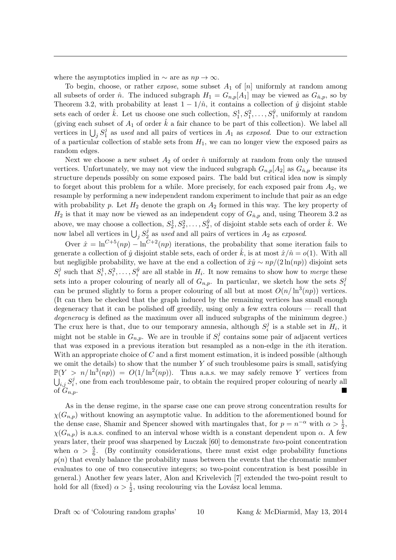where the asymptotics implied in  $\sim$  are as  $np \to \infty$ .

To begin, choose, or rather *expose*, some subset  $A_1$  of  $[n]$  uniformly at random among all subsets of order  $\hat{n}$ . The induced subgraph  $H_1 = G_{n,p}[A_1]$  may be viewed as  $G_{\hat{n},p}$ , so by Theorem 3.2, with probability at least  $1 - 1/\hat{n}$ , it contains a collection of  $\hat{y}$  disjoint stable sets each of order  $\hat{k}$ . Let us choose one such collection,  $S_1^1, S_1^2, \ldots, S_l^{\hat{y}}$ , uniformly at random (giving each subset of  $A_1$  of order  $\hat{k}$  a fair chance to be part of this collection). We label all vertices in  $\bigcup_j S_1^j$ <sup>1</sup>/<sub>1</sub> as used and all pairs of vertices in  $A_1$  as exposed. Due to our extraction of a particular collection of stable sets from  $H_1$ , we can no longer view the exposed pairs as random edges.

Next we choose a new subset  $A_2$  of order  $\hat{n}$  uniformly at random from only the unused vertices. Unfortunately, we may not view the induced subgraph  $G_{n,p}[A_2]$  as  $G_{\hat{n},p}$  because its structure depends possibly on some exposed pairs. The bald but critical idea now is simply to forget about this problem for a while. More precisely, for each exposed pair from  $A_2$ , we resample by performing a new independent random experiment to include that pair as an edge with probability p. Let  $H_2$  denote the graph on  $A_2$  formed in this way. The key property of  $H_2$  is that it may now be viewed as an independent copy of  $G_{\hat{n},p}$  and, using Theorem 3.2 as above, we may choose a collection,  $S_2^1, S_2^2, \ldots, S_2^{\hat{y}}$ , of disjoint stable sets each of order  $\hat{k}$ . We now label all vertices in  $\bigcup_j S_2^j$  $\frac{d}{2}$  as used and all pairs of vertices in  $A_2$  as exposed.

Over  $\hat{x} = \ln^{C+5}(np) - \ln^{C+2}(np)$  iterations, the probability that some iteration fails to generate a collection of  $\hat{y}$  disjoint stable sets, each of order  $\hat{k}$ , is at most  $\hat{x}/\hat{n} = o(1)$ . With all but negligible probability, we have at the end a collection of  $\hat{x}\hat{y} \sim np/(2\ln(np))$  disjoint sets  $S_i^j$  $s_i^j$  such that  $S_i^1, S_i^2, \ldots, S_i^{\hat{y}}$  are all stable in  $H_i$ . It now remains to show how to merge these sets into a proper colouring of nearly all of  $G_{n,p}$ . In particular, we sketch how the sets  $S_i^j$ i can be pruned slightly to form a proper colouring of all but at most  $O(n/\ln^3(np))$  vertices. (It can then be checked that the graph induced by the remaining vertices has small enough degeneracy that it can be polished off greedily, using only a few extra colours — recall that degeneracy is defined as the maximum over all induced subgraphs of the minimum degree.) The crux here is that, due to our temporary amnesia, although  $S_i^j$  $i<sup>j</sup>$  is a stable set in  $H_i$ , it might not be stable in  $G_{n,p}$ . We are in trouble if  $S_i^j$  $i$  contains some pair of adjacent vertices that was exposed in a previous iteration but resampled as a non-edge in the ith iteration. With an appropriate choice of  $C$  and a first moment estimation, it is indeed possible (although we omit the details) to show that the number  $Y$  of such troublesome pairs is small, satisfying  $\mathbb{P}(Y > n/\ln^3(np)) = O(1/\ln^2(np)).$  Thus a.a.s. we may safely remove Y vertices from  $\bigcup_{i,j} S_i^j$  $i_i$ , one from each troublesome pair, to obtain the required proper colouring of nearly all of  $G_{n,p}$ .

As in the dense regime, in the sparse case one can prove strong concentration results for  $\chi(G_{n,p})$  without knowing an asymptotic value. In addition to the aforementioned bound for the dense case, Shamir and Spencer showed with martingales that, for  $p = n^{-\alpha}$  with  $\alpha > \frac{1}{2}$ ,  $\chi(G_{n,p})$  is a.a.s. confined to an interval whose width is a constant dependent upon  $\alpha$ . A few years later, their proof was sharpened by Luczak [60] to demonstrate two-point concentration when  $\alpha > \frac{5}{6}$ . (By continuity considerations, there must exist edge probability functions  $p(n)$  that evenly balance the probability mass between the events that the chromatic number evaluates to one of two consecutive integers; so two-point concentration is best possible in general.) Another few years later, Alon and Krivelevich [7] extended the two-point result to hold for all (fixed)  $\alpha > \frac{1}{2}$ , using recolouring via the Lovász local lemma.

Draft  $\infty$  of 'Colouring random graphs' 10 Kang & McDiarmid, May 13, 2014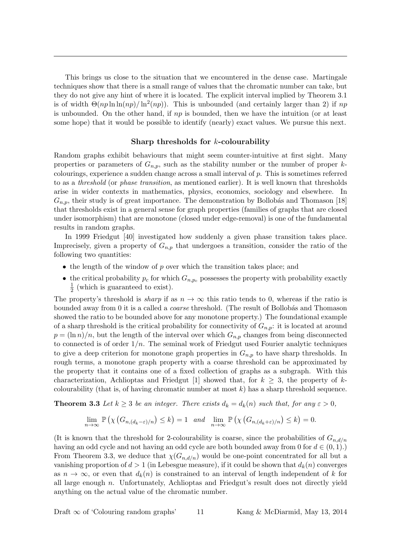This brings us close to the situation that we encountered in the dense case. Martingale techniques show that there is a small range of values that the chromatic number can take, but they do not give any hint of where it is located. The explicit interval implied by Theorem 3.1 is of width  $\Theta(np \ln \ln(np)/\ln^2(np))$ . This is unbounded (and certainly larger than 2) if np is unbounded. On the other hand, if  $np$  is bounded, then we have the intuition (or at least some hope) that it would be possible to identify (nearly) exact values. We pursue this next.

#### Sharp thresholds for  $k$ -colourability

Random graphs exhibit behaviours that might seem counter-intuitive at first sight. Many properties or parameters of  $G_{n,p}$ , such as the stability number or the number of proper kcolourings, experience a sudden change across a small interval of p. This is sometimes referred to as a threshold (or phase transition, as mentioned earlier). It is well known that thresholds arise in wider contexts in mathematics, physics, economics, sociology and elsewhere. In  $G_{n,p}$ , their study is of great importance. The demonstration by Bollobás and Thomason [18] that thresholds exist in a general sense for graph properties (families of graphs that are closed under isomorphism) that are monotone (closed under edge-removal) is one of the fundamental results in random graphs.

In 1999 Friedgut [40] investigated how suddenly a given phase transition takes place. Imprecisely, given a property of  $G_{n,p}$  that undergoes a transition, consider the ratio of the following two quantities:

- $\bullet$  the length of the window of p over which the transition takes place; and
- the critical probability  $p_c$  for which  $G_{n,p_c}$  possesses the property with probability exactly 1  $\frac{1}{2}$  (which is guaranteed to exist).

The property's threshold is *sharp* if as  $n \to \infty$  this ratio tends to 0, whereas if the ratio is bounded away from 0 it is a called a *coarse* threshold. (The result of Bollobás and Thomason showed the ratio to be bounded above for any monotone property.) The foundational example of a sharp threshold is the critical probability for connectivity of  $G_{n,p}$ : it is located at around  $p = (\ln n)/n$ , but the length of the interval over which  $G_{n,p}$  changes from being disconnected to connected is of order  $1/n$ . The seminal work of Friedgut used Fourier analytic techniques to give a deep criterion for monotone graph properties in  $G_{n,p}$  to have sharp thresholds. In rough terms, a monotone graph property with a coarse threshold can be approximated by the property that it contains one of a fixed collection of graphs as a subgraph. With this characterization, Achlioptas and Friedgut [1] showed that, for  $k \geq 3$ , the property of kcolourability (that is, of having chromatic number at most  $k$ ) has a sharp threshold sequence.

**Theorem 3.3** Let  $k \geq 3$  be an integer. There exists  $d_k = d_k(n)$  such that, for any  $\varepsilon > 0$ ,

$$
\lim_{n \to \infty} \mathbb{P}\left(\chi\left(G_{n,(d_k-\varepsilon)/n}\right) \leq k\right) = 1 \quad \text{and} \quad \lim_{n \to \infty} \mathbb{P}\left(\chi\left(G_{n,(d_k+\varepsilon)/n}\right) \leq k\right) = 0.
$$

(It is known that the threshold for 2-colourability is coarse, since the probabilities of  $G_{n,d/n}$ having an odd cycle and not having an odd cycle are both bounded away from 0 for  $d \in (0,1)$ .) From Theorem 3.3, we deduce that  $\chi(G_{n,d/n})$  would be one-point concentrated for all but a vanishing proportion of  $d > 1$  (in Lebesgue measure), if it could be shown that  $d_k(n)$  converges as  $n \to \infty$ , or even that  $d_k(n)$  is constrained to an interval of length independent of k for all large enough n. Unfortunately, Achlioptas and Friedgut's result does not directly yield anything on the actual value of the chromatic number.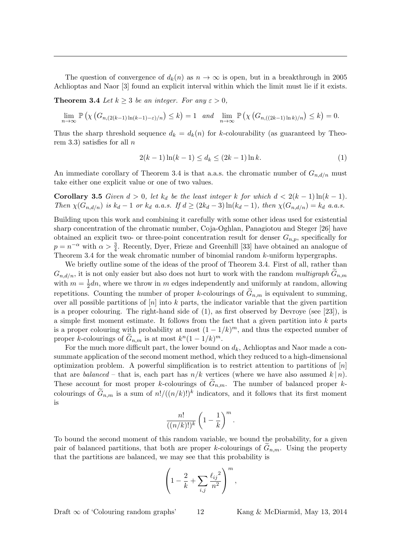The question of convergence of  $d_k(n)$  as  $n \to \infty$  is open, but in a breakthrough in 2005 Achlioptas and Naor [3] found an explicit interval within which the limit must lie if it exists.

**Theorem 3.4** Let  $k > 3$  be an integer. For any  $\varepsilon > 0$ ,

$$
\lim_{n \to \infty} \mathbb{P}\left(\chi\left(G_{n,(2(k-1)\ln(k-1)-\varepsilon)/n}\right) \leq k\right) = 1 \quad \text{and} \quad \lim_{n \to \infty} \mathbb{P}\left(\chi\left(G_{n,(2k-1)\ln k)/n}\right) \leq k\right) = 0.
$$

Thus the sharp threshold sequence  $d_k = d_k(n)$  for k-colourability (as guaranteed by Theorem 3.3) satisfies for all  $n$ 

$$
2(k-1)\ln(k-1) \le d_k \le (2k-1)\ln k. \tag{1}
$$

An immediate corollary of Theorem 3.4 is that a.a.s. the chromatic number of  $G_{n,d/n}$  must take either one explicit value or one of two values.

Corollary 3.5 Given  $d > 0$ , let  $k_d$  be the least integer k for which  $d < 2(k-1)\ln(k-1)$ . Then  $\chi(G_{n,d/n})$  is  $k_d - 1$  or  $k_d$  a.a.s. If  $d \geq (2k_d - 3) \ln(k_d - 1)$ , then  $\chi(G_{n,d/n}) = k_d$  a.a.s.

Building upon this work and combining it carefully with some other ideas used for existential sharp concentration of the chromatic number, Coja-Oghlan, Panagiotou and Steger [26] have obtained an explicit two- or three-point concentration result for denser  $G_{n,p}$ , specifically for  $p = n^{-\alpha}$  with  $\alpha > \frac{3}{4}$ . Recently, Dyer, Frieze and Greenhill [33] have obtained an analogue of Theorem 3.4 for the weak chromatic number of binomial random k-uniform hypergraphs.

We briefly outline some of the ideas of the proof of Theorem 3.4. First of all, rather than  $G_{n,d/n}$ , it is not only easier but also does not hurt to work with the random multigraph  $G_{n,m}$ with  $m=\frac{1}{2}$  $\frac{1}{2}$ dn, where we throw in m edges independently and uniformly at random, allowing repetitions. Counting the number of proper k-colourings of  $G_{n,m}$  is equivalent to summing, over all possible partitions of  $[n]$  into k parts, the indicator variable that the given partition is a proper colouring. The right-hand side of  $(1)$ , as first observed by Devroye (see [23]), is a simple first moment estimate. It follows from the fact that a given partition into k parts is a proper colouring with probability at most  $(1 - 1/k)^m$ , and thus the expected number of proper k-colourings of  $\widetilde{G}_{n,m}$  is at most  $k^{n}(1 - 1/k)^{m}$ .

For the much more difficult part, the lower bound on  $d_k$ , Achlioptas and Naor made a consummate application of the second moment method, which they reduced to a high-dimensional optimization problem. A powerful simplification is to restrict attention to partitions of  $[n]$ that are balanced – that is, each part has  $n/k$  vertices (where we have also assumed  $k/n$ ). These account for most proper k-colourings of  $\tilde{G}_{n,m}$ . The number of balanced proper kcolourings of  $\widetilde{G}_{n,m}$  is a sum of  $n!/((n/k)!)^k$  indicators, and it follows that its first moment is

$$
\frac{n!}{((n/k)!)^k} \left(1 - \frac{1}{k}\right)^m.
$$

To bound the second moment of this random variable, we bound the probability, for a given pair of balanced partitions, that both are proper k-colourings of  $G_{n,m}$ . Using the property that the partitions are balanced, we may see that this probability is

$$
\left(1-\frac{2}{k}+\sum_{i,j}\frac{\ell_{ij}{}^2}{n^2}\right)^m,
$$

Draft  $\infty$  of 'Colouring random graphs' 12 Kang & McDiarmid, May 13, 2014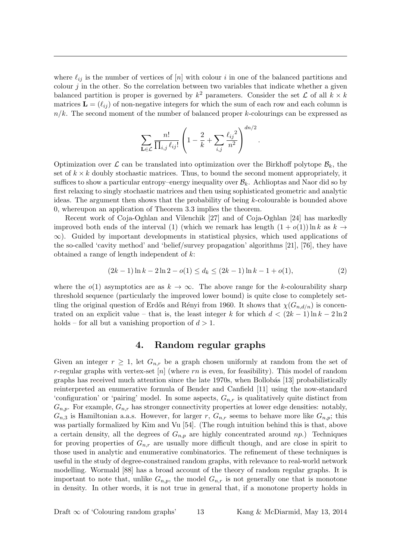where  $\ell_{ij}$  is the number of vertices of  $[n]$  with colour i in one of the balanced partitions and colour  $j$  in the other. So the correlation between two variables that indicate whether a given balanced partition is proper is governed by  $k^2$  parameters. Consider the set  $\mathcal L$  of all  $k \times k$ matrices  $\mathbf{L} = (\ell_{ij})$  of non-negative integers for which the sum of each row and each column is  $n/k$ . The second moment of the number of balanced proper k-colourings can be expressed as

$$
\sum_{\mathbf{L}\in\mathcal{L}}\frac{n!}{\prod_{i,j}\ell_{ij}!}\left(1-\frac{2}{k}+\sum_{i,j}\frac{\ell_{ij}^2}{n^2}\right)^{dn/2}
$$

Optimization over L can be translated into optimization over the Birkhoff polytope  $\mathcal{B}_k$ , the set of  $k \times k$  doubly stochastic matrices. Thus, to bound the second moment appropriately, it suffices to show a particular entropy–energy inequality over  $\mathcal{B}_k$ . Achlioptas and Naor did so by first relaxing to singly stochastic matrices and then using sophisticated geometric and analytic ideas. The argument then shows that the probability of being k-colourable is bounded above 0, whereupon an application of Theorem 3.3 implies the theorem.

Recent work of Coja-Oghlan and Vilenchik [27] and of Coja-Oghlan [24] has markedly improved both ends of the interval (1) (which we remark has length  $(1 + o(1)) \ln k$  as  $k \to$  $\infty$ ). Guided by important developments in statistical physics, which used applications of the so-called 'cavity method' and 'belief/survey propagation' algorithms [21], [76], they have obtained a range of length independent of  $k$ :

$$
(2k-1)\ln k - 2\ln 2 - o(1) \le d_k \le (2k-1)\ln k - 1 + o(1),\tag{2}
$$

.

where the  $o(1)$  asymptotics are as  $k \to \infty$ . The above range for the k-colourability sharp threshold sequence (particularly the improved lower bound) is quite close to completely settling the original question of Erdős and Rényi from 1960. It shows that  $\chi(G_{n,d/n})$  is concentrated on an explicit value – that is, the least integer k for which  $d < (2k-1)\ln k - 2\ln 2$ holds – for all but a vanishing proportion of  $d > 1$ .

# 4. Random regular graphs

Given an integer  $r \geq 1$ , let  $G_{n,r}$  be a graph chosen uniformly at random from the set of r-regular graphs with vertex-set  $[n]$  (where rn is even, for feasibility). This model of random graphs has received much attention since the late  $1970s$ , when Bollobás [13] probabilistically reinterpreted an enumerative formula of Bender and Canfield [11] using the now-standard 'configuration' or 'pairing' model. In some aspects,  $G_{n,r}$  is qualitatively quite distinct from  $G_{n,p}$ . For example,  $G_{n,r}$  has stronger connectivity properties at lower edge densities: notably,  $G_{n,3}$  is Hamiltonian a.a.s. However, for larger r,  $G_{n,r}$  seems to behave more like  $G_{n,p}$ ; this was partially formalized by Kim and Vu [54]. (The rough intuition behind this is that, above a certain density, all the degrees of  $G_{n,p}$  are highly concentrated around  $np$ .) Techniques for proving properties of  $G_{n,r}$  are usually more difficult though, and are close in spirit to those used in analytic and enumerative combinatorics. The refinement of these techniques is useful in the study of degree-constrained random graphs, with relevance to real-world network modelling. Wormald [88] has a broad account of the theory of random regular graphs. It is important to note that, unlike  $G_{n,p}$ , the model  $G_{n,r}$  is not generally one that is monotone in density. In other words, it is not true in general that, if a monotone property holds in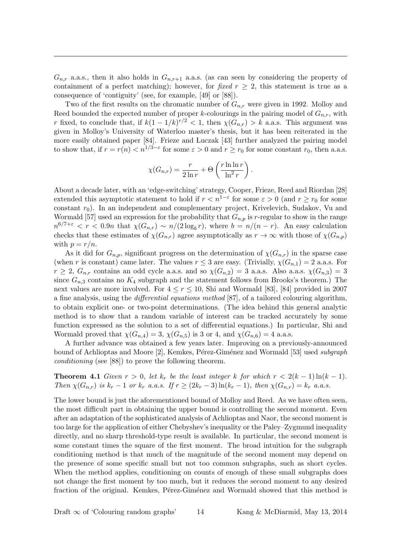$G_{n,r}$  a.a.s., then it also holds in  $G_{n,r+1}$  a.a.s. (as can seen by considering the property of containment of a perfect matching); however, for fixed  $r \geq 2$ , this statement is true as a consequence of 'contiguity' (see, for example, [49] or [88]).

Two of the first results on the chromatic number of  $G_{n,r}$  were given in 1992. Molloy and Reed bounded the expected number of proper k-colourings in the pairing model of  $G_{n,r}$ , with r fixed, to conclude that, if  $k(1-1/k)^{r/2} < 1$ , then  $\chi(G_{n,r}) > k$  a.a.s. This argument was given in Molloy's University of Waterloo master's thesis, but it has been reiterated in the more easily obtained paper [84]. Frieze and Luczak [43] further analyzed the pairing model to show that, if  $r = r(n) < n^{1/3-\epsilon}$  for some  $\epsilon > 0$  and  $r \ge r_0$  for some constant  $r_0$ , then a.a.s.

$$
\chi(G_{n,r}) = \frac{r}{2\ln r} + \Theta\left(\frac{r\ln\ln r}{\ln^2 r}\right).
$$

About a decade later, with an 'edge-switching' strategy, Cooper, Frieze, Reed and Riordan [28] extended this asymptotic statement to hold if  $r < n^{1-\varepsilon}$  for some  $\varepsilon > 0$  (and  $r \ge r_0$  for some constant  $r_0$ ). In an independent and complementary project, Krivelevich, Sudakov, Vu and Wormald [57] used an expression for the probability that  $G_{n,p}$  is r-regular to show in the range  $n^{6/7+\varepsilon} < r < 0.9n$  that  $\chi(G_{n,r}) \sim n/(2 \log_b r)$ , where  $b = n/(n-r)$ . An easy calculation checks that these estimates of  $\chi(G_{n,r})$  agree asymptotically as  $r \to \infty$  with those of  $\chi(G_{n,p})$ with  $p = r/n$ .

As it did for  $G_{n,p}$ , significant progress on the determination of  $\chi(G_{n,r})$  in the sparse case (when r is constant) came later. The values  $r \leq 3$  are easy. (Trivially,  $\chi(G_{n,1}) = 2$  a.a.s. For  $r \geq 2$ ,  $G_{n,r}$  contains an odd cycle a.a.s. and so  $\chi(G_{n,2}) = 3$  a.a.s. Also a.a.s.  $\chi(G_{n,3}) = 3$ since  $G_{n,3}$  contains no  $K_4$  subgraph and the statement follows from Brooks's theorem.) The next values are more involved. For  $4 \le r \le 10$ , Shi and Wormald [83], [84] provided in 2007 a fine analysis, using the differential equations method [87], of a tailored colouring algorithm, to obtain explicit one- or two-point determinations. (The idea behind this general analytic method is to show that a random variable of interest can be tracked accurately by some function expressed as the solution to a set of differential equations.) In particular, Shi and Wormald proved that  $\chi(G_{n,4}) = 3$ ,  $\chi(G_{n,5})$  is 3 or 4, and  $\chi(G_{n,6}) = 4$  a.a.s.

A further advance was obtained a few years later. Improving on a previously-announced bound of Achlioptas and Moore [2], Kemkes, Pérez-Giménez and Wormald [53] used subgraph conditioning (see [88]) to prove the following theorem.

**Theorem 4.1** Given  $r > 0$ , let  $k_r$  be the least integer k for which  $r < 2(k-1)\ln(k-1)$ . Then  $\chi(G_{n,r})$  is  $k_r - 1$  or  $k_r$  a.a.s. If  $r \geq (2k_r - 3) \ln(k_r - 1)$ , then  $\chi(G_{n,r}) = k_r$  a.a.s.

The lower bound is just the aforementioned bound of Molloy and Reed. As we have often seen, the most difficult part in obtaining the upper bound is controlling the second moment. Even after an adaptation of the sophisticated analysis of Achlioptas and Naor, the second moment is too large for the application of either Chebyshev's inequality or the Paley–Zygmund inequality directly, and no sharp threshold-type result is available. In particular, the second moment is some constant times the square of the first moment. The broad intuition for the subgraph conditioning method is that much of the magnitude of the second moment may depend on the presence of some specific small but not too common subgraphs, such as short cycles. When the method applies, conditioning on counts of enough of these small subgraphs does not change the first moment by too much, but it reduces the second moment to any desired fraction of the original. Kemkes, Pérez-Giménez and Wormald showed that this method is

Draft  $\infty$  of 'Colouring random graphs' 14 Kang & McDiarmid, May 13, 2014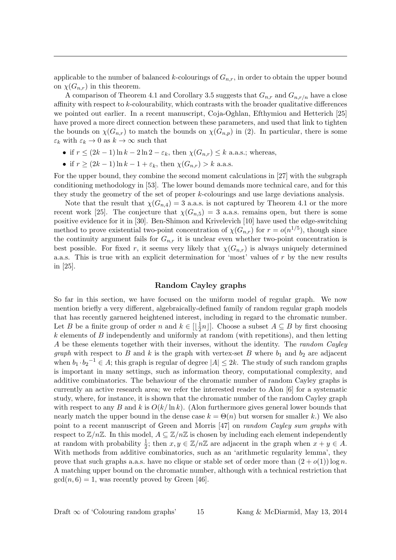applicable to the number of balanced k-colourings of  $G_{n,r}$ , in order to obtain the upper bound on  $\chi(G_{n,r})$  in this theorem.

A comparison of Theorem 4.1 and Corollary 3.5 suggests that  $G_{n,r}$  and  $G_{n,r/n}$  have a close affinity with respect to k-colourability, which contrasts with the broader qualitative differences we pointed out earlier. In a recent manuscript, Coja-Oghlan, Efthymiou and Hetterich [25] have proved a more direct connection between these parameters, and used that link to tighten the bounds on  $\chi(G_{n,r})$  to match the bounds on  $\chi(G_{n,p})$  in (2). In particular, there is some  $\varepsilon_k$  with  $\varepsilon_k\to 0$  as  $k\to\infty$  such that

- if  $r \leq (2k-1)\ln k 2\ln 2 \varepsilon_k$ , then  $\chi(G_{n,r}) \leq k$  a.a.s.; whereas,
- if  $r \geq (2k-1)\ln k 1 + \varepsilon_k$ , then  $\chi(G_{n,r}) > k$  a.s.s.

For the upper bound, they combine the second moment calculations in [27] with the subgraph conditioning methodology in [53]. The lower bound demands more technical care, and for this they study the geometry of the set of proper k-colourings and use large deviations analysis.

Note that the result that  $\chi(G_{n,4}) = 3$  a.a.s. is not captured by Theorem 4.1 or the more recent work [25]. The conjecture that  $\chi(G_{n,5}) = 3$  a.a.s. remains open, but there is some positive evidence for it in [30]. Ben-Shimon and Krivelevich [10] have used the edge-switching method to prove existential two-point concentration of  $\chi(G_{n,r})$  for  $r = o(n^{1/5})$ , though since the continuity argument fails for  $G_{n,r}$  it is unclear even whether two-point concentration is best possible. For fixed r, it seems very likely that  $\chi(G_{n,r})$  is always uniquely determined a.a.s. This is true with an explicit determination for 'most' values of  $r$  by the new results in [25].

#### Random Cayley graphs

So far in this section, we have focused on the uniform model of regular graph. We now mention briefly a very different, algebraically-defined family of random regular graph models that has recently garnered heightened interest, including in regard to the chromatic number. Let B be a finite group of order n and  $k \in \left[\frac{1}{2}\right]$  $\frac{1}{2}n$ ]. Choose a subset  $A \subseteq B$  by first choosing  $k$  elements of  $B$  independently and uniformly at random (with repetitions), and then letting A be these elements together with their inverses, without the identity. The random Cayley *graph* with respect to B and k is the graph with vertex-set B where  $b_1$  and  $b_2$  are adjacent when  $b_1 \cdot b_2^{-1} \in A$ ; this graph is regular of degree  $|A| \leq 2k$ . The study of such random graphs is important in many settings, such as information theory, computational complexity, and additive combinatorics. The behaviour of the chromatic number of random Cayley graphs is currently an active research area; we refer the interested reader to Alon [6] for a systematic study, where, for instance, it is shown that the chromatic number of the random Cayley graph with respect to any B and k is  $O(k/\ln k)$ . (Alon furthermore gives general lower bounds that nearly match the upper bound in the dense case  $k = \Theta(n)$  but worsen for smaller k.) We also point to a recent manuscript of Green and Morris [47] on random Cayley sum graphs with respect to  $\mathbb{Z}/n\mathbb{Z}$ . In this model,  $A \subseteq \mathbb{Z}/n\mathbb{Z}$  is chosen by including each element independently at random with probability  $\frac{1}{2}$ ; then  $x, y \in \mathbb{Z}/n\mathbb{Z}$  are adjacent in the graph when  $x + y \in A$ . With methods from additive combinatorics, such as an 'arithmetic regularity lemma', they prove that such graphs a.a.s. have no clique or stable set of order more than  $(2 + o(1)) \log n$ . A matching upper bound on the chromatic number, although with a technical restriction that  $gcd(n, 6) = 1$ , was recently proved by Green [46].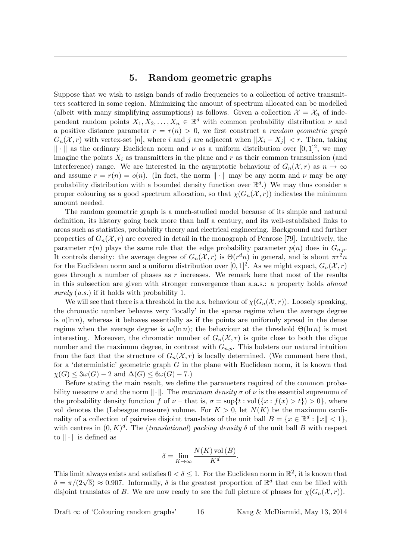# 5. Random geometric graphs

Suppose that we wish to assign bands of radio frequencies to a collection of active transmitters scattered in some region. Minimizing the amount of spectrum allocated can be modelled (albeit with many simplifying assumptions) as follows. Given a collection  $\mathcal{X} = \mathcal{X}_n$  of independent random points  $X_1, X_2, \ldots, X_n \in \mathbb{R}^d$  with common probability distribution  $\nu$  and a positive distance parameter  $r = r(n) > 0$ , we first construct a *random geometric graph*  $G_n(\mathcal{X}, r)$  with vertex-set [n], where i and j are adjacent when  $||X_i - X_j|| < r$ . Then, taking  $\|\cdot\|$  as the ordinary Euclidean norm and  $\nu$  as a uniform distribution over  $[0, 1]^2$ , we may imagine the points  $X_i$  as transmitters in the plane and r as their common transmission (and interference) range. We are interested in the asymptotic behaviour of  $G_n(\mathcal{X}, r)$  as  $n \to \infty$ and assume  $r = r(n) = o(n)$ . (In fact, the norm  $\|\cdot\|$  may be any norm and  $\nu$  may be any probability distribution with a bounded density function over  $\mathbb{R}^d$ .) We may thus consider a proper colouring as a good spectrum allocation, so that  $\chi(G_n(\mathcal{X}, r))$  indicates the minimum amount needed.

The random geometric graph is a much-studied model because of its simple and natural definition, its history going back more than half a century, and its well-established links to areas such as statistics, probability theory and electrical engineering. Background and further properties of  $G_n(\mathcal{X}, r)$  are covered in detail in the monograph of Penrose [79]. Intuitively, the parameter  $r(n)$  plays the same role that the edge probability parameter  $p(n)$  does in  $G_{n,p}$ . It controls density: the average degree of  $G_n(\mathcal{X}, r)$  is  $\Theta(r^dn)$  in general, and is about  $\pi r^2n$ for the Euclidean norm and a uniform distribution over  $[0,1]^2$ . As we might expect,  $G_n(\mathcal{X}, r)$ goes through a number of phases as  $r$  increases. We remark here that most of the results in this subsection are given with stronger convergence than a.a.s.: a property holds *almost* surely  $(a.s.)$  if it holds with probability 1.

We will see that there is a threshold in the a.s. behaviour of  $\chi(G_n(\mathcal{X}, r))$ . Loosely speaking, the chromatic number behaves very 'locally' in the sparse regime when the average degree is  $o(\ln n)$ , whereas it behaves essentially as if the points are uniformly spread in the dense regime when the average degree is  $\omega(\ln n)$ ; the behaviour at the threshold  $\Theta(\ln n)$  is most interesting. Moreover, the chromatic number of  $G_n(\mathcal{X}, r)$  is quite close to both the clique number and the maximum degree, in contrast with  $G_{n,p}$ . This bolsters our natural intuition from the fact that the structure of  $G_n(\mathcal{X}, r)$  is locally determined. (We comment here that, for a 'deterministic' geometric graph G in the plane with Euclidean norm, it is known that  $\chi(G) \leq 3\omega(G) - 2$  and  $\Delta(G) \leq 6\omega(G) - 7$ .

Before stating the main result, we define the parameters required of the common probability measure  $\nu$  and the norm  $\|\cdot\|$ . The maximum density  $\sigma$  of  $\nu$  is the essential supremum of the probability density function f of  $\nu$  – that is,  $\sigma = \sup\{t : \text{vol}(\{x : f(x) > t\}) > 0\}$ , where vol denotes the (Lebesgue measure) volume. For  $K > 0$ , let  $N(K)$  be the maximum cardinality of a collection of pairwise disjoint translates of the unit ball  $B = \{x \in \mathbb{R}^d : ||x|| < 1\}$ , with centres in  $(0, K)^d$ . The (*translational*) packing density  $\delta$  of the unit ball B with respect to  $\|\cdot\|$  is defined as

$$
\delta = \lim_{K \to \infty} \frac{N(K) \operatorname{vol}(B)}{K^d}.
$$

This limit always exists and satisfies  $0 < \delta \leq 1$ . For the Euclidean norm in  $\mathbb{R}^2$ , it is known that This limit always exists and satisfies  $0 < \delta \leq 1$ . For the Euclidean florm in K-, it is known that  $\delta = \pi/(2\sqrt{3}) \approx 0.907$ . Informally,  $\delta$  is the greatest proportion of  $\mathbb{R}^d$  that can be filled with disjoint translates of B. We are now ready to see the full picture of phases for  $\chi(G_n(\mathcal{X}, r))$ .

Draft  $\infty$  of 'Colouring random graphs' 16 Kang & McDiarmid, May 13, 2014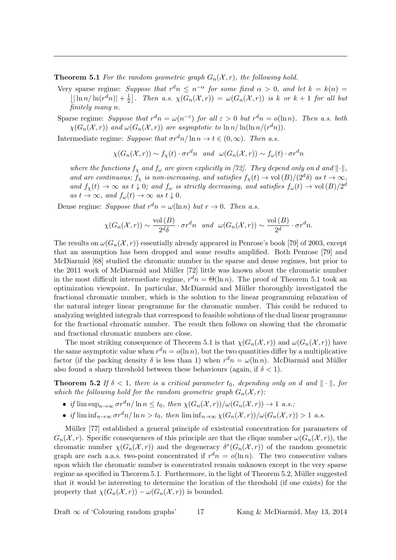**Theorem 5.1** For the random geometric graph  $G_n(\mathcal{X}, r)$ , the following hold.

- Very sparse regime: Suppose that  $r^dn \leq n^{-\alpha}$  for some fixed  $\alpha > 0$ , and let  $k = k(n) =$  $\left| \ln n / \ln(r^d n) \right| + \frac{1}{2}$  $\frac{1}{2}$ ]. Then a.s.  $\chi(G_n(\mathcal{X},r)) = \omega(G_n(\mathcal{X},r))$  is k or  $k+1$  for all but finitely many n.
- Sparse regime: Suppose that  $r^dn = \omega(n^{-\varepsilon})$  for all  $\varepsilon > 0$  but  $r^dn = o(\ln n)$ . Then a.s. both  $\chi(G_n(\mathcal{X}, r))$  and  $\omega(G_n(\mathcal{X}, r))$  are asymptotic to  $\ln n/\ln(\ln n/(r^dn))$ .

Intermediate regime: Suppose that  $\sigma r^d n/\ln n \to t \in (0,\infty)$ . Then a.s.

$$
\chi(G_n(\mathcal{X},r)) \sim f_\chi(t) \cdot \sigma r^d n
$$
 and  $\omega(G_n(\mathcal{X},r)) \sim f_\omega(t) \cdot \sigma r^d n$ 

where the functions  $f_{\chi}$  and  $f_{\omega}$  are given explicitly in [72]. They depend only on d and  $\|\cdot\|$ , and are continuous;  $f_{\chi}$  is non-increasing, and satisfies  $f_{\chi}(t) \to \text{vol}(B)/(2^d\delta)$  as  $t \to \infty$ , and  $f_{\chi}(t) \to \infty$  as  $t \downarrow 0$ ; and  $f_{\omega}$  is strictly decreasing, and satisfies  $f_{\omega}(t) \to \text{vol}(B)/2^d$ as  $t \to \infty$ , and  $f_{\omega}(t) \to \infty$  as  $t \downarrow 0$ .

Dense regime: Suppose that  $r^d n = \omega(\ln n)$  but  $r \to 0$ . Then a.s.

$$
\chi(G_n(\mathcal{X},r)) \sim \frac{\text{vol}(B)}{2^d \delta} \cdot \sigma r^d n
$$
 and  $\omega(G_n(\mathcal{X},r)) \sim \frac{\text{vol}(B)}{2^d} \cdot \sigma r^d n$ .

The results on  $\omega(G_n(\mathcal{X}, r))$  essentially already appeared in Penrose's book [79] of 2003, except that an assumption has been dropped and some results amplified. Both Penrose [79] and McDiarmid [68] studied the chromatic number in the sparse and dense regimes, but prior to the 2011 work of McDiarmid and Müller [72] little was known about the chromatic number in the most difficult intermediate regime,  $r<sup>d</sup>n = \Theta(\ln n)$ . The proof of Theorem 5.1 took an optimization viewpoint. In particular, McDiarmid and M¨uller thoroughly investigated the fractional chromatic number, which is the solution to the linear programming relaxation of the natural integer linear programme for the chromatic number. This could be reduced to analyzing weighted integrals that correspond to feasible solutions of the dual linear programme for the fractional chromatic number. The result then follows on showing that the chromatic and fractional chromatic numbers are close.

The most striking consequence of Theorem 5.1 is that  $\chi(G_n(\mathcal{X}, r))$  and  $\omega(G_n(\mathcal{X}, r))$  have the same asymptotic value when  $r^d n = o(\ln n)$ , but the two quantities differ by a multiplicative factor (if the packing density  $\delta$  is less than 1) when  $r^d n = \omega(\ln n)$ . McDiarmid and Müller also found a sharp threshold between these behaviours (again, if  $\delta < 1$ ).

**Theorem 5.2** If  $\delta < 1$ , there is a critical parameter  $t_0$ , depending only on d and  $\|\cdot\|$ , for which the following hold for the random geometric graph  $G_n(\mathcal{X}, r)$ :

- if  $\limsup_{n\to\infty} \sigma r^dn/\ln n \leq t_0$ , then  $\chi(G_n(\mathcal{X}, r))/\omega(G_n(\mathcal{X}, r)) \to 1$  a.s.;
- if  $\liminf_{n\to\infty} \sigma r^d n/\ln n > t_0$ , then  $\liminf_{n\to\infty} \chi(G_n(\mathcal{X}, r))/\omega(G_n(\mathcal{X}, r)) > 1$  a.s.

Müller [77] established a general principle of existential concentration for parameters of  $G_n(\mathcal{X},r)$ . Specific consequences of this principle are that the clique number  $\omega(G_n(\mathcal{X},r))$ , the chromatic number  $\chi(G_n(\mathcal{X},r))$  and the degeneracy  $\delta^*(G_n(\mathcal{X},r))$  of the random geometric graph are each a.a.s. two-point concentrated if  $r^d n = o(\ln n)$ . The two consecutive values upon which the chromatic number is concentrated remain unknown except in the very sparse regime as specified in Theorem 5.1. Furthermore, in the light of Theorem 5.2, Müller suggested that it would be interesting to determine the location of the threshold (if one exists) for the property that  $\chi(G_n(\mathcal{X}, r)) - \omega(G_n(\mathcal{X}, r))$  is bounded.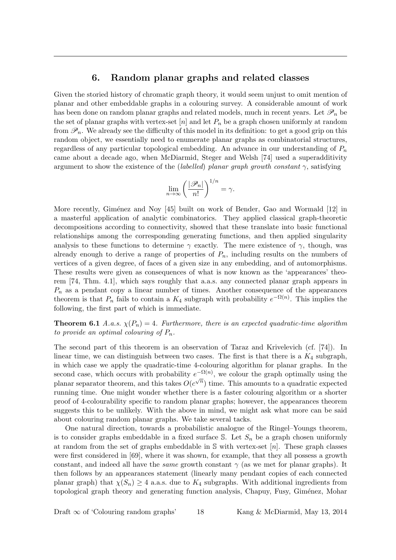# 6. Random planar graphs and related classes

Given the storied history of chromatic graph theory, it would seem unjust to omit mention of planar and other embeddable graphs in a colouring survey. A considerable amount of work has been done on random planar graphs and related models, much in recent years. Let  $\mathscr{P}_n$  be the set of planar graphs with vertex-set  $[n]$  and let  $P_n$  be a graph chosen uniformly at random from  $\mathscr{P}_n$ . We already see the difficulty of this model in its definition: to get a good grip on this random object, we essentially need to enumerate planar graphs as combinatorial structures, regardless of any particular topological embedding. An advance in our understanding of  $P_n$ came about a decade ago, when McDiarmid, Steger and Welsh [74] used a superadditivity argument to show the existence of the (labelled) planar graph growth constant  $\gamma$ , satisfying

$$
\lim_{n \to \infty} \left( \frac{|\mathcal{P}_n|}{n!} \right)^{1/n} = \gamma.
$$

More recently, Giménez and Noy [45] built on work of Bender, Gao and Wormald [12] in a masterful application of analytic combinatorics. They applied classical graph-theoretic decompositions according to connectivity, showed that these translate into basic functional relationships among the corresponding generating functions, and then applied singularity analysis to these functions to determine  $\gamma$  exactly. The mere existence of  $\gamma$ , though, was already enough to derive a range of properties of  $P_n$ , including results on the numbers of vertices of a given degree, of faces of a given size in any embedding, and of automorphisms. These results were given as consequences of what is now known as the 'appearances' theorem [74, Thm. 4.1], which says roughly that a.a.s. any connected planar graph appears in  $P_n$  as a pendant copy a linear number of times. Another consequence of the appearances theorem is that  $P_n$  fails to contain a  $K_4$  subgraph with probability  $e^{-\Omega(n)}$ . This implies the following, the first part of which is immediate.

# **Theorem 6.1** A.a.s.  $\chi(P_n) = 4$ . Furthermore, there is an expected quadratic-time algorithm to provide an optimal colouring of  $P_n$ .

The second part of this theorem is an observation of Taraz and Krivelevich (cf. [74]). In linear time, we can distinguish between two cases. The first is that there is a  $K_4$  subgraph, in which case we apply the quadratic-time 4-colouring algorithm for planar graphs. In the second case, which occurs with probability  $e^{-\Omega(n)}$ , we colour the graph optimally using the planar separator theorem, and this takes  $O(c^{\sqrt{n}})$  time. This amounts to a quadratic expected running time. One might wonder whether there is a faster colouring algorithm or a shorter proof of 4-colourability specific to random planar graphs; however, the appearances theorem suggests this to be unlikely. With the above in mind, we might ask what more can be said about colouring random planar graphs. We take several tacks.

One natural direction, towards a probabilistic analogue of the Ringel–Youngs theorem, is to consider graphs embeddable in a fixed surface S. Let  $S_n$  be a graph chosen uniformly at random from the set of graphs embeddable in  $\mathbb S$  with vertex-set [n]. These graph classes were first considered in [69], where it was shown, for example, that they all possess a growth constant, and indeed all have the *same* growth constant  $\gamma$  (as we met for planar graphs). It then follows by an appearances statement (linearly many pendant copies of each connected planar graph) that  $\chi(S_n) \geq 4$  a.a.s. due to  $K_4$  subgraphs. With additional ingredients from topological graph theory and generating function analysis, Chapuy, Fusy, Giménez, Mohar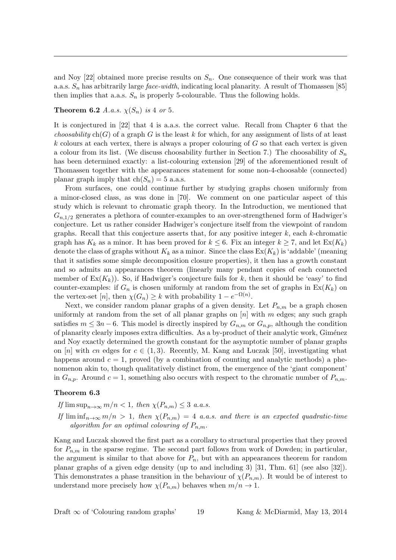and Noy [22] obtained more precise results on  $S_n$ . One consequence of their work was that a.a.s.  $S_n$  has arbitrarily large face-width, indicating local planarity. A result of Thomassen [85] then implies that a.a.s.  $S_n$  is properly 5-colourable. Thus the following holds.

#### Theorem 6.2 A.a.s.  $\chi(S_n)$  is 4 or 5.

It is conjectured in [22] that 4 is a.a.s. the correct value. Recall from Chapter 6 that the *choosability*  $ch(G)$  of a graph G is the least k for which, for any assignment of lists of at least k colours at each vertex, there is always a proper colouring of  $G$  so that each vertex is given a colour from its list. (We discuss choosability further in Section 7.) The choosability of  $S_n$ has been determined exactly: a list-colouring extension [29] of the aforementioned result of Thomassen together with the appearances statement for some non-4-choosable (connected) planar graph imply that  $ch(S_n) = 5$  a.a.s.

From surfaces, one could continue further by studying graphs chosen uniformly from a minor-closed class, as was done in [70]. We comment on one particular aspect of this study which is relevant to chromatic graph theory. In the Introduction, we mentioned that  $G_{n,1/2}$  generates a plethora of counter-examples to an over-strengthened form of Hadwiger's conjecture. Let us rather consider Hadwiger's conjecture itself from the viewpoint of random graphs. Recall that this conjecture asserts that, for any positive integer  $k$ , each  $k$ -chromatic graph has  $K_k$  as a minor. It has been proved for  $k \leq 6$ . Fix an integer  $k \geq 7$ , and let  $\text{Ex}(K_k)$ denote the class of graphs without  $K_k$  as a minor. Since the class  $\text{Ex}(K_k)$  is 'addable' (meaning that it satisfies some simple decomposition closure properties), it then has a growth constant and so admits an appearances theorem (linearly many pendant copies of each connected member of  $\text{Ex}(K_k)$ ). So, if Hadwiger's conjecture fails for k, then it should be 'easy' to find counter-examples: if  $G_n$  is chosen uniformly at random from the set of graphs in  $Ex(K_k)$  on the vertex-set [n], then  $\chi(G_n) \geq k$  with probability  $1 - e^{-\Omega(n)}$ .

Next, we consider random planar graphs of a given density. Let  $P_{n,m}$  be a graph chosen uniformly at random from the set of all planar graphs on  $[n]$  with m edges; any such graph satisfies  $m \leq 3n - 6$ . This model is directly inspired by  $G_{n,m}$  or  $G_{n,p}$ , although the condition of planarity clearly imposes extra difficulties. As a by-product of their analytic work, Gim´enez and Noy exactly determined the growth constant for the asymptotic number of planar graphs on [n] with cn edges for  $c \in (1,3)$ . Recently, M. Kang and Luczak [50], investigating what happens around  $c = 1$ , proved (by a combination of counting and analytic methods) a phenomenon akin to, though qualitatively distinct from, the emergence of the 'giant component' in  $G_{n,p}$ . Around  $c = 1$ , something also occurs with respect to the chromatic number of  $P_{n,m}$ .

#### Theorem 6.3

- If  $\limsup_{n\to\infty} m/n < 1$ , then  $\chi(P_{n,m}) \leq 3$  a.a.s.
- If  $\liminf_{n\to\infty} m/n > 1$ , then  $\chi(P_{n,m}) = 4$  a.a.s. and there is an expected quadratic-time algorithm for an optimal colouring of  $P_{n,m}$ .

Kang and Luczak showed the first part as a corollary to structural properties that they proved for  $P_{n,m}$  in the sparse regime. The second part follows from work of Dowden; in particular, the argument is similar to that above for  $P_n$ , but with an appearances theorem for random planar graphs of a given edge density (up to and including 3) [31, Thm. 61] (see also [32]). This demonstrates a phase transition in the behaviour of  $\chi(P_{n,m})$ . It would be of interest to understand more precisely how  $\chi(P_{n,m})$  behaves when  $m/n \to 1$ .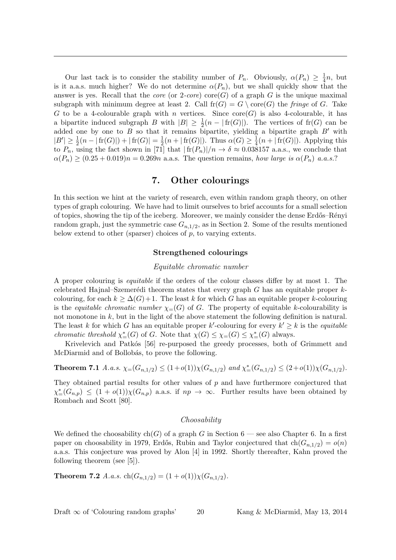Our last tack is to consider the stability number of  $P_n$ . Obviously,  $\alpha(P_n) \geq \frac{1}{4}$  $\frac{1}{4}n$ , but is it a.a.s. much higher? We do not determine  $\alpha(P_n)$ , but we shall quickly show that the answer is yes. Recall that the *core* (or 2-core) core (G) of a graph G is the unique maximal subgraph with minimum degree at least 2. Call  $\text{fr}(G) = G \setminus \text{core}(G)$  the fringe of G. Take G to be a 4-colourable graph with n vertices. Since  $\text{core}(G)$  is also 4-colourable, it has a bipartite induced subgraph B with  $|B| \ge \frac{1}{2}(n - |\operatorname{fr}(G)|)$ . The vertices of  $\operatorname{fr}(G)$  can be added one by one to  $B$  so that it remains bipartite, yielding a bipartite graph  $B'$  with  $|B'| \ge \frac{1}{2}(n - |\operatorname{fr}(G)|) + |\operatorname{fr}(G)| = \frac{1}{2}$  $\frac{1}{2}(n+|\operatorname{fr}(G)|)$ . Thus  $\alpha(G) \geq \frac{1}{4}$  $\frac{1}{4}(n+|\operatorname{fr}(G)|)$ . Applying this to  $P_n$ , using the fact shown in [71] that  $|\text{fr}(P_n)|/n \to \delta \approx 0.038157$  a.a.s., we conclude that  $\alpha(P_n) \geq (0.25 + 0.019)n = 0.269n$  a.a.s. The question remains, how large is  $\alpha(P_n)$  a.a.s.?

# 7. Other colourings

In this section we hint at the variety of research, even within random graph theory, on other types of graph colouring. We have had to limit ourselves to brief accounts for a small selection of topics, showing the tip of the iceberg. Moreover, we mainly consider the dense Erdős–Rényi random graph, just the symmetric case  $G_{n,1/2}$ , as in Section 2. Some of the results mentioned below extend to other (sparser) choices of  $p$ , to varying extents.

#### Strengthened colourings

#### Equitable chromatic number

A proper colouring is equitable if the orders of the colour classes differ by at most 1. The celebrated Hajnal–Szemerédi theorem states that every graph  $G$  has an equitable proper  $k$ colouring, for each  $k \geq \Delta(G)+1$ . The least k for which G has an equitable proper k-colouring is the equitable chromatic number  $\chi=(G)$  of G. The property of equitable k-colourability is not monotone in  $k$ , but in the light of the above statement the following definition is natural. The least k for which G has an equitable proper k'-colouring for every  $k' \geq k$  is the equitable chromatic threshold  $\chi^*_{=}(G)$  of G. Note that  $\chi(G) \leq \chi^*_{=}(G) \leq \chi^*_{=}(G)$  always.

Krivelevich and Patkós [56] re-purposed the greedy processes, both of Grimmett and McDiarmid and of Bollobás, to prove the following.

**Theorem 7.1** A.a.s. 
$$
\chi_{=}(G_{n,1/2}) \leq (1+o(1))\chi(G_{n,1/2})
$$
 and  $\chi_{=}^{*}(G_{n,1/2}) \leq (2+o(1))\chi(G_{n,1/2})$ .

They obtained partial results for other values of  $p$  and have furthermore conjectured that  $\chi^*_{=}(G_{n,p}) \leq (1+o(1))\chi(G_{n,p})$  a.a.s. if  $np \to \infty$ . Further results have been obtained by Rombach and Scott [80].

#### Choosability

We defined the choosability  $ch(G)$  of a graph G in Section  $6$  — see also Chapter 6. In a first paper on choosability in 1979, Erdős, Rubin and Taylor conjectured that  $ch(G_{n,1/2}) = o(n)$ a.a.s. This conjecture was proved by Alon [4] in 1992. Shortly thereafter, Kahn proved the following theorem (see [5]).

**Theorem 7.2** A.a.s.  $ch(G_{n,1/2}) = (1+o(1))\chi(G_{n,1/2}).$ 

Draft  $\infty$  of 'Colouring random graphs' 20 Kang & McDiarmid, May 13, 2014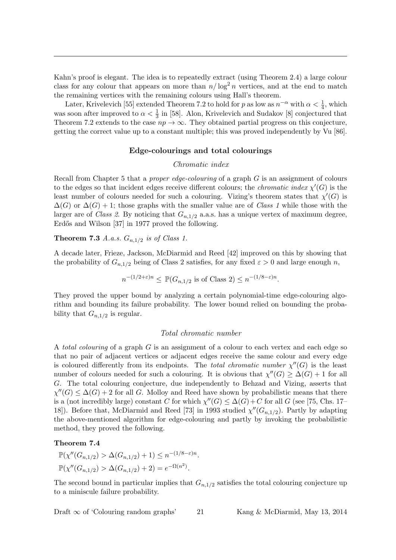Kahn's proof is elegant. The idea is to repeatedly extract (using Theorem 2.4) a large colour class for any colour that appears on more than  $n/\log^2 n$  vertices, and at the end to match the remaining vertices with the remaining colours using Hall's theorem.

Later, Krivelevich [55] extended Theorem 7.2 to hold for p as low as  $n^{-\alpha}$  with  $\alpha < \frac{1}{4}$ , which was soon after improved to  $\alpha < \frac{1}{3}$  in [58]. Alon, Krivelevich and Sudakov [8] conjectured that Theorem 7.2 extends to the case  $np \to \infty$ . They obtained partial progress on this conjecture, getting the correct value up to a constant multiple; this was proved independently by Vu [86].

#### Edge-colourings and total colourings

#### Chromatic index

Recall from Chapter 5 that a *proper edge-colouring* of a graph  $G$  is an assignment of colours to the edges so that incident edges receive different colours; the *chromatic index*  $\chi'(G)$  is the least number of colours needed for such a colouring. Vizing's theorem states that  $\chi'(G)$  is  $\Delta(G)$  or  $\Delta(G)$  + 1; those graphs with the smaller value are of *Class 1* while those with the larger are of Class 2. By noticing that  $G_{n,1/2}$  a.a.s. has a unique vertex of maximum degree, Erdős and Wilson [37] in 1977 proved the following.

# **Theorem 7.3** A.a.s.  $G_{n,1/2}$  is of Class 1.

A decade later, Frieze, Jackson, McDiarmid and Reed [42] improved on this by showing that the probability of  $G_{n,1/2}$  being of Class 2 satisfies, for any fixed  $\varepsilon > 0$  and large enough n,

$$
n^{-(1/2+\varepsilon)n} \le \mathbb{P}(G_{n,1/2} \text{ is of Class 2}) \le n^{-(1/8-\varepsilon)n}.
$$

They proved the upper bound by analyzing a certain polynomial-time edge-colouring algorithm and bounding its failure probability. The lower bound relied on bounding the probability that  $G_{n,1/2}$  is regular.

#### Total chromatic number

A total colouring of a graph  $G$  is an assignment of a colour to each vertex and each edge so that no pair of adjacent vertices or adjacent edges receive the same colour and every edge is coloured differently from its endpoints. The *total chromatic number*  $\chi''(G)$  is the least number of colours needed for such a colouring. It is obvious that  $\chi''(G) \geq \Delta(G) + 1$  for all G. The total colouring conjecture, due independently to Behzad and Vizing, asserts that  $\chi''(G) \leq \Delta(G) + 2$  for all G. Molloy and Reed have shown by probabilistic means that there is a (not incredibly large) constant C for which  $\chi''(G) \leq \Delta(G) + C$  for all G (see [75, Chs. 17– 18]). Before that, McDiarmid and Reed [73] in 1993 studied  $\chi''(G_{n,1/2})$ . Partly by adapting the above-mentioned algorithm for edge-colouring and partly by invoking the probabilistic method, they proved the following.

# Theorem 7.4

$$
\mathbb{P}(\chi''(G_{n,1/2}) > \Delta(G_{n,1/2}) + 1) \le n^{-(1/8 - \varepsilon)n}.
$$
  

$$
\mathbb{P}(\chi''(G_{n,1/2}) > \Delta(G_{n,1/2}) + 2) = e^{-\Omega(n^2)}.
$$

The second bound in particular implies that  $G_{n,1/2}$  satisfies the total colouring conjecture up to a miniscule failure probability.

Draft  $\infty$  of 'Colouring random graphs' 21 Kang & McDiarmid, May 13, 2014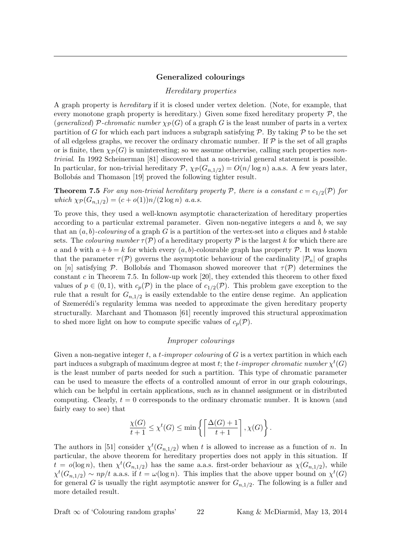#### Generalized colourings

#### Hereditary properties

A graph property is hereditary if it is closed under vertex deletion. (Note, for example, that every monotone graph property is hereditary.) Given some fixed hereditary property  $P$ , the (generalized) P-chromatic number  $\chi_{\mathcal{P}}(G)$  of a graph G is the least number of parts in a vertex partition of G for which each part induces a subgraph satisfying  $\mathcal P$ . By taking  $\mathcal P$  to be the set of all edgeless graphs, we recover the ordinary chromatic number. If  $P$  is the set of all graphs or is finite, then  $\chi_{\mathcal{P}}(G)$  is uninteresting; so we assume otherwise, calling such properties nontrivial. In 1992 Scheinerman [81] discovered that a non-trivial general statement is possible. In particular, for non-trivial hereditary  $P$ ,  $\chi_P(G_{n,1/2}) = O(n/\log n)$  a.a.s. A few years later, Bollobás and Thomason [19] proved the following tighter result.

**Theorem 7.5** For any non-trivial hereditary property P, there is a constant  $c = c_{1/2}(\mathcal{P})$  for which  $\chi_{\mathcal{P}}(G_{n,1/2}) = (c + o(1))n/(2 \log n)$  a.a.s.

To prove this, they used a well-known asymptotic characterization of hereditary properties according to a particular extremal parameter. Given non-negative integers  $a$  and  $b$ , we say that an  $(a, b)$ -colouring of a graph G is a partition of the vertex-set into a cliques and b stable sets. The colouring number  $\tau(\mathcal{P})$  of a hereditary property  $\mathcal P$  is the largest k for which there are a and b with  $a + b = k$  for which every  $(a, b)$ -colourable graph has property P. It was known that the parameter  $\tau(\mathcal{P})$  governs the asymptotic behaviour of the cardinality  $|\mathcal{P}_n|$  of graphs on [n] satisfying P. Bollobás and Thomason showed moreover that  $\tau(\mathcal{P})$  determines the constant c in Theorem 7.5. In follow-up work  $[20]$ , they extended this theorem to other fixed values of  $p \in (0,1)$ , with  $c_p(\mathcal{P})$  in the place of  $c_{1/2}(\mathcal{P})$ . This problem gave exception to the rule that a result for  $G_{n,1/2}$  is easily extendable to the entire dense regime. An application of Szemer´edi's regularity lemma was needed to approximate the given hereditary property structurally. Marchant and Thomason [61] recently improved this structural approximation to shed more light on how to compute specific values of  $c_p(\mathcal{P})$ .

#### Improper colourings

Given a non-negative integer t, a t-improper colouring of  $G$  is a vertex partition in which each part induces a subgraph of maximum degree at most t; the t-improper chromatic number  $\chi^t(G)$ is the least number of parts needed for such a partition. This type of chromatic parameter can be used to measure the effects of a controlled amount of error in our graph colourings, which can be helpful in certain applications, such as in channel assignment or in distributed computing. Clearly,  $t = 0$  corresponds to the ordinary chromatic number. It is known (and fairly easy to see) that

$$
\frac{\chi(G)}{t+1} \le \chi^t(G) \le \min\left\{ \left\lceil \frac{\Delta(G) + 1}{t+1} \right\rceil, \chi(G) \right\}.
$$

The authors in [51] consider  $\chi^t(G_{n,1/2})$  when t is allowed to increase as a function of n. In particular, the above theorem for hereditary properties does not apply in this situation. If  $t = o(\log n)$ , then  $\chi^t(G_{n,1/2})$  has the same a.a.s. first-order behaviour as  $\chi(G_{n,1/2})$ , while  $\chi^t(G_{n,1/2}) \sim np/t$  a.a.s. if  $t = \omega(\log n)$ . This implies that the above upper bound on  $\chi^t(G)$ for general G is usually the right asymptotic answer for  $G_{n,1/2}$ . The following is a fuller and more detailed result.

Draft  $\infty$  of 'Colouring random graphs' 22 Kang & McDiarmid, May 13, 2014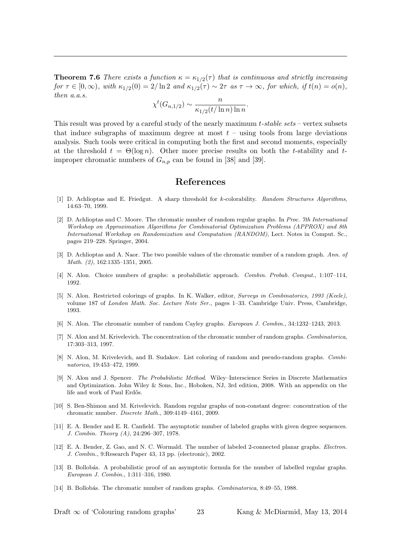**Theorem 7.6** There exists a function  $\kappa = \kappa_{1/2}(\tau)$  that is continuous and strictly increasing for  $\tau \in [0,\infty)$ , with  $\kappa_{1/2}(0) = 2/\ln 2$  and  $\kappa_{1/2}(\tau) \sim 2\tau$  as  $\tau \to \infty$ , for which, if  $t(n) = o(n)$ , then a.a.s.

$$
\chi^t(G_{n,1/2}) \sim \frac{n}{\kappa_{1/2}(t/\ln n)\ln n}.
$$

This result was proved by a careful study of the nearly maximum t-stable sets – vertex subsets that induce subgraphs of maximum degree at most  $t$  – using tools from large deviations analysis. Such tools were critical in computing both the first and second moments, especially at the threshold  $t = \Theta(\log n)$ . Other more precise results on both the t-stability and timproper chromatic numbers of  $G_{n,p}$  can be found in [38] and [39].

# References

- [1] D. Achlioptas and E. Friedgut. A sharp threshold for k-colorability. Random Structures Algorithms, 14:63–70, 1999.
- [2] D. Achlioptas and C. Moore. The chromatic number of random regular graphs. In Proc. 7th International Workshop on Approximation Algorithms for Combinatorial Optimization Problems (APPROX) and 8th International Workshop on Randomization and Computation (RANDOM), Lect. Notes in Comput. Sc., pages 219–228. Springer, 2004.
- [3] D. Achlioptas and A. Naor. The two possible values of the chromatic number of a random graph. Ann. of Math. (2), 162:1335–1351, 2005.
- [4] N. Alon. Choice numbers of graphs: a probabilistic approach. Combin. Probab. Comput., 1:107–114, 1992.
- [5] N. Alon. Restricted colorings of graphs. In K. Walker, editor, Surveys in Combinatorics, 1993 (Keele), volume 187 of London Math. Soc. Lecture Note Ser., pages 1-33. Cambridge Univ. Press, Cambridge, 1993.
- [6] N. Alon. The chromatic number of random Cayley graphs. European J. Combin., 34:1232–1243, 2013.
- [7] N. Alon and M. Krivelevich. The concentration of the chromatic number of random graphs. *Combinatorica*, 17:303–313, 1997.
- [8] N. Alon, M. Krivelevich, and B. Sudakov. List coloring of random and pseudo-random graphs. Combinatorica, 19:453–472, 1999.
- [9] N. Alon and J. Spencer. The Probabilistic Method. Wiley–Interscience Series in Discrete Mathematics and Optimization. John Wiley & Sons, Inc., Hoboken, NJ, 3rd edition, 2008. With an appendix on the life and work of Paul Erdős.
- [10] S. Ben-Shimon and M. Krivelevich. Random regular graphs of non-constant degree: concentration of the chromatic number. Discrete Math., 309:4149–4161, 2009.
- [11] E. A. Bender and E. R. Canfield. The asymptotic number of labeled graphs with given degree sequences. J. Combin. Theory (A), 24:296–307, 1978.
- [12] E. A. Bender, Z. Gao, and N. C. Wormald. The number of labeled 2-connected planar graphs. Electron. J. Combin., 9:Research Paper 43, 13 pp. (electronic), 2002.
- [13] B. Bollobás. A probabilistic proof of an asymptotic formula for the number of labelled regular graphs. European J. Combin., 1:311–316, 1980.
- [14] B. Bollobás. The chromatic number of random graphs. *Combinatorica*, 8:49–55, 1988.

Draft  $\infty$  of 'Colouring random graphs' 23 Kang & McDiarmid, May 13, 2014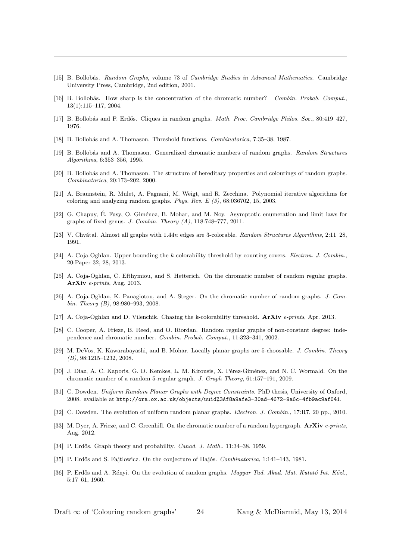- [15] B. Bollobás. Random Graphs, volume 73 of Cambridge Studies in Advanced Mathematics. Cambridge University Press, Cambridge, 2nd edition, 2001.
- [16] B. Bollobás. How sharp is the concentration of the chromatic number? Combin. Probab. Comput., 13(1):115–117, 2004.
- [17] B. Bollobás and P. Erdős. Cliques in random graphs. Math. Proc. Cambridge Philos. Soc., 80:419–427, 1976.
- [18] B. Bollobás and A. Thomason. Threshold functions. *Combinatorica*, 7:35–38, 1987.
- [19] B. Bollobás and A. Thomason. Generalized chromatic numbers of random graphs. Random Structures Algorithms, 6:353–356, 1995.
- [20] B. Bollobás and A. Thomason. The structure of hereditary properties and colourings of random graphs. Combinatorica, 20:173–202, 2000.
- [21] A. Braunstein, R. Mulet, A. Pagnani, M. Weigt, and R. Zecchina. Polynomial iterative algorithms for coloring and analyzing random graphs. Phys. Rev. E  $(3)$ , 68:036702, 15, 2003.
- [22] G. Chapuy, É. Fusy, O. Giménez, B. Mohar, and M. Noy. Asymptotic enumeration and limit laws for graphs of fixed genus. J. Combin. Theory  $(A)$ , 118:748-777, 2011.
- [23] V. Chvátal. Almost all graphs with 1.44n edges are 3-colorable. Random Structures Algorithms, 2:11–28, 1991.
- [24] A. Coja-Oghlan. Upper-bounding the k-colorability threshold by counting covers. Electron. J. Combin., 20:Paper 32, 28, 2013.
- [25] A. Coja-Oghlan, C. Efthymiou, and S. Hetterich. On the chromatic number of random regular graphs. ArXiv e-prints, Aug. 2013.
- [26] A. Coja-Oghlan, K. Panagiotou, and A. Steger. On the chromatic number of random graphs. J. Combin. Theory (B), 98:980–993, 2008.
- [27] A. Coja-Oghlan and D. Vilenchik. Chasing the k-colorability threshold. ArXiv e-prints, Apr. 2013.
- [28] C. Cooper, A. Frieze, B. Reed, and O. Riordan. Random regular graphs of non-constant degree: independence and chromatic number. Combin. Probab. Comput., 11:323–341, 2002.
- [29] M. DeVos, K. Kawarabayashi, and B. Mohar. Locally planar graphs are 5-choosable. J. Combin. Theory (B), 98:1215–1232, 2008.
- [30] J. Díaz, A. C. Kaporis, G. D. Kemkes, L. M. Kirousis, X. Pérez-Giménez, and N. C. Wormald. On the chromatic number of a random 5-regular graph. J. Graph Theory, 61:157–191, 2009.
- [31] C. Dowden. Uniform Random Planar Graphs with Degree Constraints. PhD thesis, University of Oxford, 2008. available at http://ora.ox.ac.uk/objects/uuid%3Af8a9afe3-30ad-4672-9a6c-4fb9ac9af041.
- [32] C. Dowden. The evolution of uniform random planar graphs. *Electron. J. Combin.*, 17:R7, 20 pp., 2010.
- [33] M. Dyer, A. Frieze, and C. Greenhill. On the chromatic number of a random hypergraph. ArXiv e-prints, Aug. 2012.
- [34] P. Erdős. Graph theory and probability. Canad. J. Math., 11:34-38, 1959.
- [35] P. Erdős and S. Fajtlowicz. On the conjecture of Hajós. *Combinatorica*, 1:141–143, 1981.
- [36] P. Erdős and A. Rényi. On the evolution of random graphs. Magyar Tud. Akad. Mat. Kutató Int. Közl., 5:17–61, 1960.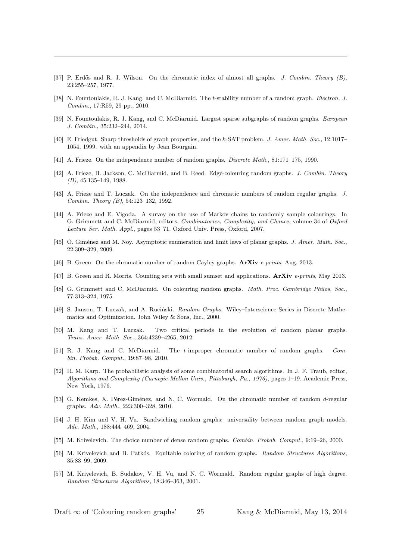- [37] P. Erdős and R. J. Wilson. On the chromatic index of almost all graphs. J. Combin. Theory  $(B)$ , 23:255–257, 1977.
- [38] N. Fountoulakis, R. J. Kang, and C. McDiarmid. The t-stability number of a random graph. Electron. J. Combin., 17:R59, 29 pp., 2010.
- [39] N. Fountoulakis, R. J. Kang, and C. McDiarmid. Largest sparse subgraphs of random graphs. European J. Combin., 35:232–244, 2014.
- [40] E. Friedgut. Sharp thresholds of graph properties, and the k-SAT problem. J. Amer. Math. Soc., 12:1017– 1054, 1999. with an appendix by Jean Bourgain.
- [41] A. Frieze. On the independence number of random graphs. *Discrete Math.*, 81:171–175, 1990.
- [42] A. Frieze, B. Jackson, C. McDiarmid, and B. Reed. Edge-colouring random graphs. J. Combin. Theory (B), 45:135–149, 1988.
- [43] A. Frieze and T. Luczak. On the independence and chromatic numbers of random regular graphs. J. Combin. Theory (B), 54:123–132, 1992.
- [44] A. Frieze and E. Vigoda. A survey on the use of Markov chains to randomly sample colourings. In G. Grimmett and C. McDiarmid, editors, Combinatorics, Complexity, and Chance, volume 34 of Oxford Lecture Ser. Math. Appl., pages 53–71. Oxford Univ. Press, Oxford, 2007.
- [45] O. Giménez and M. Noy. Asymptotic enumeration and limit laws of planar graphs. J. Amer. Math. Soc., 22:309–329, 2009.
- [46] B. Green. On the chromatic number of random Cayley graphs. ArXiv e-prints, Aug. 2013.
- [47] B. Green and R. Morris. Counting sets with small sumset and applications.  $\bf{ArXiv}$  e-prints, May 2013.
- [48] G. Grimmett and C. McDiarmid. On colouring random graphs. *Math. Proc. Cambridge Philos. Soc.*, 77:313–324, 1975.
- [49] S. Janson, T. Luczak, and A. Ruciński. Random Graphs. Wiley–Interscience Series in Discrete Mathematics and Optimization. John Wiley & Sons, Inc., 2000.
- [50] M. Kang and T. Luczak. Two critical periods in the evolution of random planar graphs. Trans. Amer. Math. Soc., 364:4239–4265, 2012.
- [51] R. J. Kang and C. McDiarmid. The t-improper chromatic number of random graphs. Combin. Probab. Comput., 19:87–98, 2010.
- [52] R. M. Karp. The probabilistic analysis of some combinatorial search algorithms. In J. F. Traub, editor, Algorithms and Complexity (Carnegie-Mellon Univ., Pittsburgh, Pa., 1976), pages 1–19. Academic Press, New York, 1976.
- [53] G. Kemkes, X. Pérez-Giménez, and N. C. Wormald. On the chromatic number of random d-regular graphs. Adv. Math., 223:300–328, 2010.
- [54] J. H. Kim and V. H. Vu. Sandwiching random graphs: universality between random graph models. Adv. Math., 188:444–469, 2004.
- [55] M. Krivelevich. The choice number of dense random graphs. Combin. Probab. Comput., 9:19–26, 2000.
- [56] M. Krivelevich and B. Patkós. Equitable coloring of random graphs. Random Structures Algorithms, 35:83–99, 2009.
- [57] M. Krivelevich, B. Sudakov, V. H. Vu, and N. C. Wormald. Random regular graphs of high degree. Random Structures Algorithms, 18:346–363, 2001.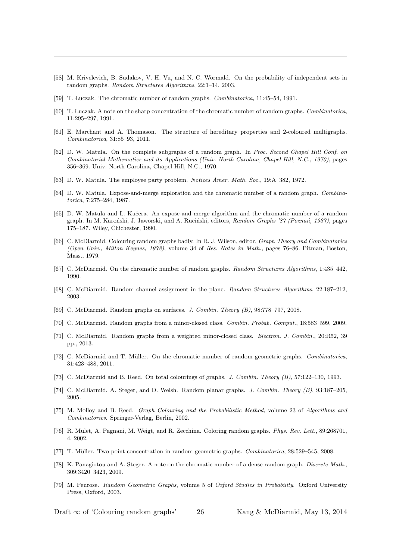- [58] M. Krivelevich, B. Sudakov, V. H. Vu, and N. C. Wormald. On the probability of independent sets in random graphs. Random Structures Algorithms, 22:1–14, 2003.
- [59] T. Luczak. The chromatic number of random graphs. Combinatorica, 11:45–54, 1991.
- [60] T. Luczak. A note on the sharp concentration of the chromatic number of random graphs. Combinatorica, 11:295–297, 1991.
- [61] E. Marchant and A. Thomason. The structure of hereditary properties and 2-coloured multigraphs. Combinatorica, 31:85–93, 2011.
- [62] D. W. Matula. On the complete subgraphs of a random graph. In Proc. Second Chapel Hill Conf. on Combinatorial Mathematics and its Applications (Univ. North Carolina, Chapel Hill, N.C., 1970), pages 356–369. Univ. North Carolina, Chapel Hill, N.C., 1970.
- [63] D. W. Matula. The employee party problem. Notices Amer. Math. Soc., 19:A–382, 1972.
- [64] D. W. Matula. Expose-and-merge exploration and the chromatic number of a random graph. Combinatorica, 7:275–284, 1987.
- [65] D. W. Matula and L. Kučera. An expose-and-merge algorithm and the chromatic number of a random graph. In M. Karoński, J. Jaworski, and A. Ruciński, editors, Random Graphs '87 (Poznań, 1987), pages 175–187. Wiley, Chichester, 1990.
- [66] C. McDiarmid. Colouring random graphs badly. In R. J. Wilson, editor, Graph Theory and Combinatorics (Open Univ., Milton Keynes, 1978), volume 34 of Res. Notes in Math., pages 76–86. Pitman, Boston, Mass., 1979.
- [67] C. McDiarmid. On the chromatic number of random graphs. Random Structures Algorithms, 1:435–442, 1990.
- [68] C. McDiarmid. Random channel assignment in the plane. Random Structures Algorithms, 22:187–212, 2003.
- [69] C. McDiarmid. Random graphs on surfaces. J. Combin. Theory (B), 98:778–797, 2008.
- [70] C. McDiarmid. Random graphs from a minor-closed class. Combin. Probab. Comput., 18:583–599, 2009.
- [71] C. McDiarmid. Random graphs from a weighted minor-closed class. Electron. J. Combin., 20:R52, 39 pp., 2013.
- [72] C. McDiarmid and T. Müller. On the chromatic number of random geometric graphs. *Combinatorica*, 31:423–488, 2011.
- [73] C. McDiarmid and B. Reed. On total colourings of graphs. J. Combin. Theory (B), 57:122–130, 1993.
- [74] C. McDiarmid, A. Steger, and D. Welsh. Random planar graphs. J. Combin. Theory (B), 93:187–205, 2005.
- [75] M. Molloy and B. Reed. Graph Colouring and the Probabilistic Method, volume 23 of Algorithms and Combinatorics. Springer-Verlag, Berlin, 2002.
- [76] R. Mulet, A. Pagnani, M. Weigt, and R. Zecchina. Coloring random graphs. Phys. Rev. Lett., 89:268701, 4, 2002.
- [77] T. Müller. Two-point concentration in random geometric graphs. Combinatorica, 28:529–545, 2008.
- [78] K. Panagiotou and A. Steger. A note on the chromatic number of a dense random graph. Discrete Math., 309:3420–3423, 2009.
- [79] M. Penrose. Random Geometric Graphs, volume 5 of Oxford Studies in Probability. Oxford University Press, Oxford, 2003.

Draft  $\infty$  of 'Colouring random graphs' 26 Kang & McDiarmid, May 13, 2014